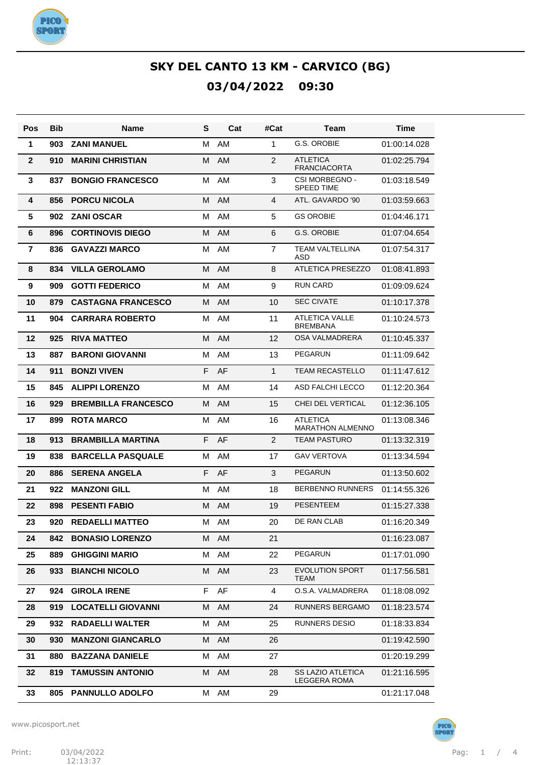

| Pos            | Bib | Name                       | S | Cat | #Cat           | Team                                            | Time         |
|----------------|-----|----------------------------|---|-----|----------------|-------------------------------------------------|--------------|
| 1              | 903 | <b>ZANI MANUEL</b>         | M | AM  | 1              | G.S. OROBIE                                     | 01:00:14.028 |
| $\mathbf{2}$   | 910 | <b>MARINI CHRISTIAN</b>    | M | AM  | $\overline{2}$ | <b>ATLETICA</b><br><b>FRANCIACORTA</b>          | 01:02:25.794 |
| 3              | 837 | <b>BONGIO FRANCESCO</b>    | м | AM  | 3              | <b>CSI MORBEGNO -</b><br><b>SPEED TIME</b>      | 01:03:18.549 |
| 4              | 856 | <b>PORCU NICOLA</b>        | M | AM  | 4              | ATL. GAVARDO '90                                | 01:03:59.663 |
| 5              | 902 | <b>ZANI OSCAR</b>          | М | AM  | 5              | <b>GS OROBIE</b>                                | 01:04:46.171 |
| 6              | 896 | <b>CORTINOVIS DIEGO</b>    | M | AM  | 6              | <b>G.S. OROBIE</b>                              | 01:07:04.654 |
| $\overline{7}$ | 836 | <b>GAVAZZI MARCO</b>       | M | AM  | $\overline{7}$ | <b>TEAM VALTELLINA</b><br>ASD                   | 01:07:54.317 |
| 8              | 834 | <b>VILLA GEROLAMO</b>      | M | AM  | 8              | <b>ATLETICA PRESEZZO</b>                        | 01:08:41.893 |
| 9              | 909 | <b>GOTTI FEDERICO</b>      | M | AM  | 9              | <b>RUN CARD</b>                                 | 01:09:09.624 |
| 10             | 879 | <b>CASTAGNA FRANCESCO</b>  | м | AM  | 10             | <b>SEC CIVATE</b>                               | 01:10:17.378 |
| 11             | 904 | <b>CARRARA ROBERTO</b>     | м | AM  | 11             | <b>ATLETICA VALLE</b><br><b>BREMBANA</b>        | 01:10:24.573 |
| 12             | 925 | <b>RIVA MATTEO</b>         | м | AM  | 12             | OSA VALMADRERA                                  | 01:10:45.337 |
| 13             | 887 | <b>BARONI GIOVANNI</b>     | м | AM  | 13             | <b>PEGARUN</b>                                  | 01:11:09.642 |
| 14             | 911 | <b>BONZI VIVEN</b>         | F | AF  | $\mathbf{1}$   | <b>TEAM RECASTELLO</b>                          | 01:11:47.612 |
| 15             | 845 | <b>ALIPPI LORENZO</b>      | м | AM  | 14             | ASD FALCHI LECCO                                | 01:12:20.364 |
| 16             | 929 | <b>BREMBILLA FRANCESCO</b> | м | AM  | 15             | CHEI DEL VERTICAL                               | 01:12:36.105 |
| 17             | 899 | <b>ROTA MARCO</b>          | м | AM  | 16             | <b>ATLETICA</b><br><b>MARATHON ALMENNO</b>      | 01:13:08.346 |
| 18             | 913 | <b>BRAMBILLA MARTINA</b>   | F | AF  | $\overline{2}$ | <b>TEAM PASTURO</b>                             | 01:13:32.319 |
| 19             | 838 | <b>BARCELLA PASQUALE</b>   | М | AM  | 17             | <b>GAV VERTOVA</b>                              | 01:13:34.594 |
| 20             | 886 | <b>SERENA ANGELA</b>       | F | AF  | 3              | <b>PEGARUN</b>                                  | 01:13:50.602 |
| 21             | 922 | <b>MANZONI GILL</b>        | М | AM  | 18             | <b>BERBENNO RUNNERS</b>                         | 01:14:55.326 |
| 22             | 898 | <b>PESENTI FABIO</b>       | м | AM  | 19             | <b>PESENTEEM</b>                                | 01:15:27.338 |
| 23             | 920 | <b>REDAELLI MATTEO</b>     | м | AM  | 20             | DE RAN CLAB                                     | 01:16:20.349 |
| 24             | 842 | <b>BONASIO LORENZO</b>     | М | AM  | 21             |                                                 | 01:16:23.087 |
| 25             | 889 | <b>GHIGGINI MARIO</b>      | М | AM  | 22             | <b>PEGARUN</b>                                  | 01:17:01.090 |
| 26             | 933 | <b>BIANCHI NICOLO</b>      | M | AM  | 23             | <b>EVOLUTION SPORT</b><br>TEAM                  | 01:17:56.581 |
| 27             | 924 | <b>GIROLA IRENE</b>        | F | AF  | 4              | O.S.A. VALMADRERA                               | 01:18:08.092 |
| 28             | 919 | <b>LOCATELLI GIOVANNI</b>  | М | AM  | 24             | <b>RUNNERS BERGAMO</b>                          | 01:18:23.574 |
| 29             | 932 | <b>RADAELLI WALTER</b>     | м | AM  | 25             | RUNNERS DESIO                                   | 01:18:33.834 |
| 30             | 930 | <b>MANZONI GIANCARLO</b>   | М | AM  | 26             |                                                 | 01:19:42.590 |
| 31             | 880 | <b>BAZZANA DANIELE</b>     | М | AM  | 27             |                                                 | 01:20:19.299 |
| 32             | 819 | <b>TAMUSSIN ANTONIO</b>    | М | AM  | 28             | <b>SS LAZIO ATLETICA</b><br><b>LEGGERA ROMA</b> | 01:21:16.595 |
| 33             | 805 | <b>PANNULLO ADOLFO</b>     | м | AM  | 29             |                                                 | 01:21:17.048 |

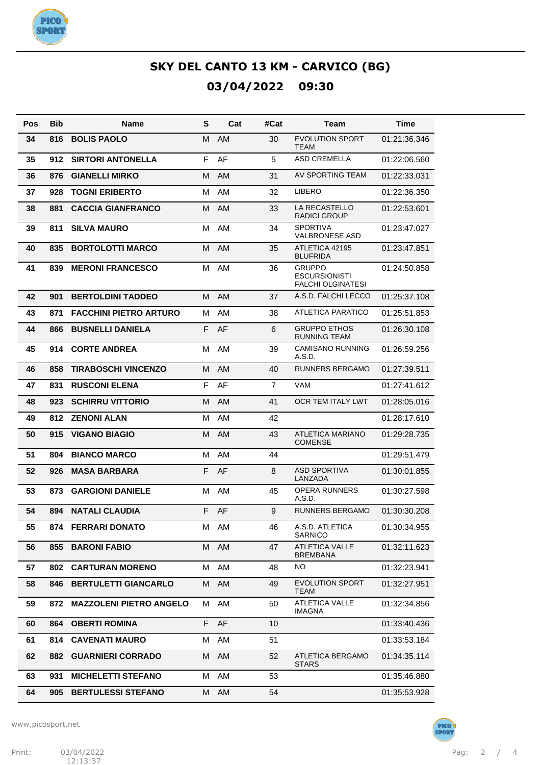

| Pos | <b>Bib</b> | Name                           | S | Cat       | #Cat           | <b>Team</b>                                                       | <b>Time</b>  |
|-----|------------|--------------------------------|---|-----------|----------------|-------------------------------------------------------------------|--------------|
| 34  | 816        | <b>BOLIS PAOLO</b>             | М | AM        | 30             | <b>EVOLUTION SPORT</b><br><b>TEAM</b>                             | 01:21:36.346 |
| 35  | 912        | <b>SIRTORI ANTONELLA</b>       | F | AF        | 5              | <b>ASD CREMELLA</b>                                               | 01:22:06.560 |
| 36  | 876        | <b>GIANELLI MIRKO</b>          | M | <b>AM</b> | 31             | AV SPORTING TEAM                                                  | 01:22:33.031 |
| 37  | 928        | <b>TOGNI ERIBERTO</b>          | M | AM        | 32             | <b>LIBERO</b>                                                     | 01:22:36.350 |
| 38  | 881        | <b>CACCIA GIANFRANCO</b>       | М | <b>AM</b> | 33             | LA RECASTELLO<br><b>RADICI GROUP</b>                              | 01:22:53.601 |
| 39  | 811        | <b>SILVA MAURO</b>             | M | AM        | 34             | <b>SPORTIVA</b><br><b>VALBRONESE ASD</b>                          | 01:23:47.027 |
| 40  | 835        | <b>BORTOLOTTI MARCO</b>        | М | AM        | 35             | ATLETICA 42195<br><b>BLUFRIDA</b>                                 | 01:23:47.851 |
| 41  | 839        | <b>MERONI FRANCESCO</b>        | м | AM        | 36             | <b>GRUPPO</b><br><b>ESCURSIONISTI</b><br><b>FALCHI OLGINATESI</b> | 01:24:50.858 |
| 42  | 901        | <b>BERTOLDINI TADDEO</b>       | м | AM        | 37             | A.S.D. FALCHI LECCO                                               | 01:25:37.108 |
| 43  | 871        | <b>FACCHINI PIETRO ARTURO</b>  | M | AM        | 38             | ATLETICA PARATICO                                                 | 01:25:51.853 |
| 44  | 866        | <b>BUSNELLI DANIELA</b>        | F | AF        | 6              | <b>GRUPPO ETHOS</b><br><b>RUNNING TEAM</b>                        | 01:26:30.108 |
| 45  | 914        | <b>CORTE ANDREA</b>            | м | AM        | 39             | <b>CAMISANO RUNNING</b><br>A.S.D.                                 | 01:26:59.256 |
| 46  | 858        | <b>TIRABOSCHI VINCENZO</b>     | M | AM        | 40             | <b>RUNNERS BERGAMO</b>                                            | 01:27:39.511 |
| 47  | 831        | <b>RUSCONI ELENA</b>           | F | AF        | $\overline{7}$ | <b>VAM</b>                                                        | 01:27:41.612 |
| 48  | 923        | <b>SCHIRRU VITTORIO</b>        | м | <b>AM</b> | 41             | OCR TEM ITALY LWT                                                 | 01:28:05.016 |
| 49  | 812        | <b>ZENONI ALAN</b>             | M | AM        | 42             |                                                                   | 01:28:17.610 |
| 50  | 915        | <b>VIGANO BIAGIO</b>           | М | AM        | 43             | <b>ATLETICA MARIANO</b><br><b>COMENSE</b>                         | 01:29:28.735 |
| 51  | 804        | <b>BIANCO MARCO</b>            | M | AM        | 44             |                                                                   | 01:29:51.479 |
| 52  | 926        | <b>MASA BARBARA</b>            | F | AF        | 8              | <b>ASD SPORTIVA</b><br>LANZADA                                    | 01:30:01.855 |
| 53  | 873        | <b>GARGIONI DANIELE</b>        | м | AM        | 45             | <b>OPERA RUNNERS</b><br>A.S.D.                                    | 01:30:27.598 |
| 54  | 894        | <b>NATALI CLAUDIA</b>          | E | AF        | 9              | <b>RUNNERS BERGAMO</b>                                            | 01:30:30.208 |
| 55  |            | 874 FERRARI DONATO             |   | M AM      | 46             | A.S.D. ATLETICA<br><b>SARNICO</b>                                 | 01:30:34.955 |
| 56  | 855        | <b>BARONI FABIO</b>            | M | AM        | 47             | <b>ATLETICA VALLE</b><br><b>BREMBANA</b>                          | 01:32:11.623 |
| 57  | 802        | <b>CARTURAN MORENO</b>         | М | AM        | 48             | NO.                                                               | 01:32:23.941 |
| 58  | 846        | <b>BERTULETTI GIANCARLO</b>    | м | AM        | 49             | <b>EVOLUTION SPORT</b><br>TEAM                                    | 01:32:27.951 |
| 59  | 872        | <b>MAZZOLENI PIETRO ANGELO</b> |   | M AM      | 50             | <b>ATLETICA VALLE</b><br><b>IMAGNA</b>                            | 01:32:34.856 |
| 60  | 864        | <b>OBERTI ROMINA</b>           | F | AF        | 10             |                                                                   | 01:33:40.436 |
| 61  | 814        | <b>CAVENATI MAURO</b>          | м | AM        | 51             |                                                                   | 01:33:53.184 |
| 62  | 882        | <b>GUARNIERI CORRADO</b>       | м | AM        | 52             | ATLETICA BERGAMO<br><b>STARS</b>                                  | 01:34:35.114 |
| 63  | 931        | <b>MICHELETTI STEFANO</b>      | м | AM        | 53             |                                                                   | 01:35:46.880 |
| 64  | 905        | <b>BERTULESSI STEFANO</b>      | м | AM        | 54             |                                                                   | 01:35:53.928 |



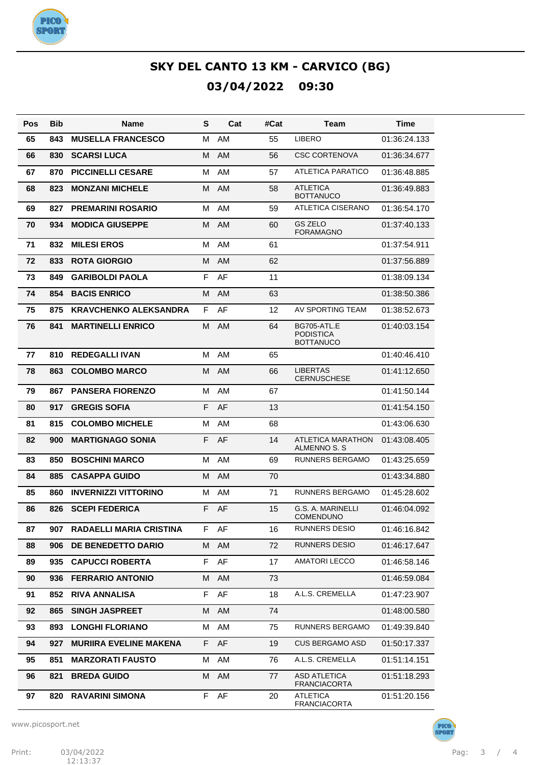

| Pos | <b>Bib</b> | Name                          | S  | Cat       | #Cat | Team                                                       | <b>Time</b>  |
|-----|------------|-------------------------------|----|-----------|------|------------------------------------------------------------|--------------|
| 65  | 843        | <b>MUSELLA FRANCESCO</b>      | М  | AM        | 55   | <b>LIBERO</b>                                              | 01:36:24.133 |
| 66  | 830        | <b>SCARSI LUCA</b>            | М  | AM        | 56   | <b>CSC CORTENOVA</b>                                       | 01:36:34.677 |
| 67  | 870        | <b>PICCINELLI CESARE</b>      | М  | AM        | 57   | ATLETICA PARATICO                                          | 01:36:48.885 |
| 68  | 823        | <b>MONZANI MICHELE</b>        | М  | <b>AM</b> | 58   | <b>ATLETICA</b><br><b>BOTTANUCO</b>                        | 01:36:49.883 |
| 69  | 827        | <b>PREMARINI ROSARIO</b>      | M  | AM        | 59   | <b>ATLETICA CISERANO</b>                                   | 01:36:54.170 |
| 70  | 934        | <b>MODICA GIUSEPPE</b>        | M  | <b>AM</b> | 60   | <b>GS ZELO</b><br>FORAMAGNO                                | 01:37:40.133 |
| 71  | 832        | <b>MILESI EROS</b>            | M  | AM        | 61   |                                                            | 01:37:54.911 |
| 72  | 833        | <b>ROTA GIORGIO</b>           | M  | AM        | 62   |                                                            | 01:37:56.889 |
| 73  | 849        | <b>GARIBOLDI PAOLA</b>        | F  | AF        | 11   |                                                            | 01:38:09.134 |
| 74  | 854        | <b>BACIS ENRICO</b>           | M  | <b>AM</b> | 63   |                                                            | 01:38:50.386 |
| 75  | 875        | <b>KRAVCHENKO ALEKSANDRA</b>  | F  | AF        | 12   | AV SPORTING TEAM                                           | 01:38:52.673 |
| 76  | 841        | <b>MARTINELLI ENRICO</b>      | M  | AM        | 64   | <b>BG705-ATL.E</b><br><b>PODISTICA</b><br><b>BOTTANUCO</b> | 01:40:03.154 |
| 77  | 810        | <b>REDEGALLI IVAN</b>         | М  | AM        | 65   |                                                            | 01:40:46.410 |
| 78  | 863        | <b>COLOMBO MARCO</b>          | М  | <b>AM</b> | 66   | <b>LIBERTAS</b><br><b>CERNUSCHESE</b>                      | 01:41:12.650 |
| 79  | 867        | <b>PANSERA FIORENZO</b>       | М  | AM        | 67   |                                                            | 01:41:50.144 |
| 80  | 917        | <b>GREGIS SOFIA</b>           | F  | AF        | 13   |                                                            | 01:41:54.150 |
| 81  | 815        | <b>COLOMBO MICHELE</b>        | М  | AM        | 68   |                                                            | 01:43:06.630 |
| 82  | 900        | <b>MARTIGNAGO SONIA</b>       | F  | AF        | 14   | ATLETICA MARATHON<br>ALMENNO S. S                          | 01:43:08.405 |
| 83  | 850        | <b>BOSCHINI MARCO</b>         | M  | AM        | 69   | <b>RUNNERS BERGAMO</b>                                     | 01:43:25.659 |
| 84  | 885        | <b>CASAPPA GUIDO</b>          | M  | AM        | 70   |                                                            | 01:43:34.880 |
| 85  | 860        | <b>INVERNIZZI VITTORINO</b>   | М  | AM        | 71   | <b>RUNNERS BERGAMO</b>                                     | 01:45:28.602 |
| 86  | 826        | <b>SCEPI FEDERICA</b>         | F  | AF        | 15   | G.S. A. MARINELLI<br><b>COMENDUNO</b>                      | 01:46:04.092 |
| 87  | 907        | RADAELLI MARIA CRISTINA       | F  | AF        | 16   | RUNNERS DESIO                                              | 01:46:16.842 |
| 88  | 906        | DE BENEDETTO DARIO            | М  | AM        | 72   | RUNNERS DESIO                                              | 01:46:17.647 |
| 89  | 935        | <b>CAPUCCI ROBERTA</b>        | F  | AF        | 17   | AMATORI LECCO                                              | 01:46:58.146 |
| 90  | 936        | <b>FERRARIO ANTONIO</b>       | M  | AM        | 73   |                                                            | 01:46:59.084 |
| 91  | 852        | <b>RIVA ANNALISA</b>          | F  | AF        | 18   | A.L.S. CREMELLA                                            | 01:47:23.907 |
| 92  | 865        | <b>SINGH JASPREET</b>         | M  | AM        | 74   |                                                            | 01:48:00.580 |
| 93  | 893        | <b>LONGHI FLORIANO</b>        | М  | AM        | 75   | RUNNERS BERGAMO                                            | 01:49:39.840 |
| 94  | 927        | <b>MURIIRA EVELINE MAKENA</b> | F. | AF        | 19   | <b>CUS BERGAMO ASD</b>                                     | 01:50:17.337 |
| 95  | 851        | <b>MARZORATI FAUSTO</b>       | М  | AM        | 76   | A.L.S. CREMELLA                                            | 01:51:14.151 |
| 96  | 821        | <b>BREDA GUIDO</b>            | M  | AM        | 77   | ASD ATLETICA<br><b>FRANCIACORTA</b>                        | 01:51:18.293 |
| 97  | 820        | <b>RAVARINI SIMONA</b>        | F  | AF        | 20   | <b>ATLETICA</b><br><b>FRANCIACORTA</b>                     | 01:51:20.156 |

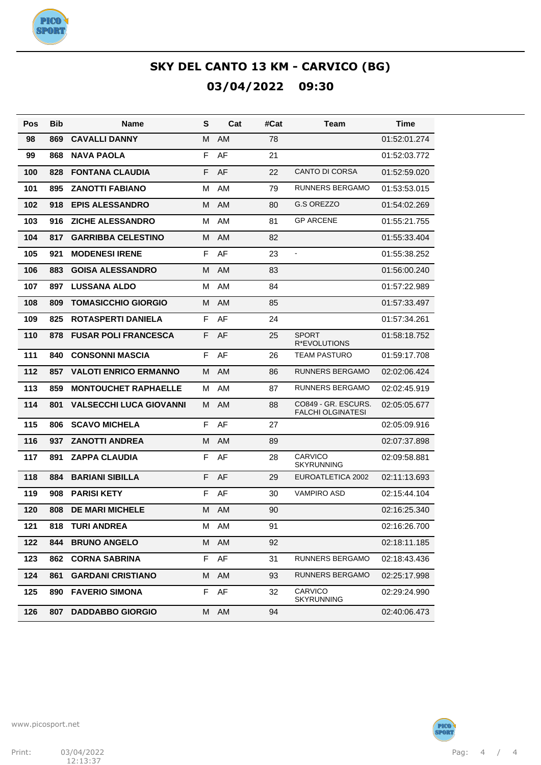

| Pos | <b>Bib</b> | Name                           | S  | Cat       | #Cat | Team                                            | Time         |
|-----|------------|--------------------------------|----|-----------|------|-------------------------------------------------|--------------|
| 98  | 869        | <b>CAVALLI DANNY</b>           | М  | <b>AM</b> | 78   |                                                 | 01:52:01.274 |
| 99  | 868        | <b>NAVA PAOLA</b>              | F  | AF        | 21   |                                                 | 01:52:03.772 |
| 100 | 828        | <b>FONTANA CLAUDIA</b>         | F  | AF        | 22   | <b>CANTO DI CORSA</b>                           | 01:52:59.020 |
| 101 | 895        | <b>ZANOTTI FABIANO</b>         | M  | AM        | 79   | <b>RUNNERS BERGAMO</b>                          | 01:53:53.015 |
| 102 | 918        | <b>EPIS ALESSANDRO</b>         | M  | <b>AM</b> | 80   | G.S OREZZO                                      | 01:54:02.269 |
| 103 | 916        | <b>ZICHE ALESSANDRO</b>        | M  | AM        | 81   | <b>GP ARCENE</b>                                | 01:55:21.755 |
| 104 | 817        | <b>GARRIBBA CELESTINO</b>      | M  | <b>AM</b> | 82   |                                                 | 01:55:33.404 |
| 105 | 921        | <b>MODENESI IRENE</b>          | F  | AF        | 23   |                                                 | 01:55:38.252 |
| 106 | 883        | <b>GOISA ALESSANDRO</b>        | M  | <b>AM</b> | 83   |                                                 | 01:56:00.240 |
| 107 | 897        | <b>LUSSANA ALDO</b>            | м  | AM        | 84   |                                                 | 01:57:22.989 |
| 108 | 809        | <b>TOMASICCHIO GIORGIO</b>     | M  | <b>AM</b> | 85   |                                                 | 01:57:33.497 |
| 109 | 825        | <b>ROTASPERTI DANIELA</b>      | F  | AF        | 24   |                                                 | 01:57:34.261 |
| 110 | 878        | <b>FUSAR POLI FRANCESCA</b>    | F  | AF        | 25   | <b>SPORT</b><br>R*EVOLUTIONS                    | 01:58:18.752 |
| 111 | 840        | <b>CONSONNI MASCIA</b>         | F  | AF        | 26   | <b>TEAM PASTURO</b>                             | 01:59:17.708 |
| 112 | 857        | <b>VALOTI ENRICO ERMANNO</b>   | м  | <b>AM</b> | 86   | <b>RUNNERS BERGAMO</b>                          | 02:02:06.424 |
| 113 | 859        | <b>MONTOUCHET RAPHAELLE</b>    | M  | AM        | 87   | <b>RUNNERS BERGAMO</b>                          | 02:02:45.919 |
| 114 | 801        | <b>VALSECCHI LUCA GIOVANNI</b> | м  | <b>AM</b> | 88   | CO849 - GR. ESCURS.<br><b>FALCHI OLGINATESI</b> | 02:05:05.677 |
| 115 | 806        | <b>SCAVO MICHELA</b>           | F  | AF        | 27   |                                                 | 02:05:09.916 |
| 116 | 937        | <b>ZANOTTI ANDREA</b>          | M  | <b>AM</b> | 89   |                                                 | 02:07:37.898 |
| 117 | 891        | <b>ZAPPA CLAUDIA</b>           | F  | AF        | 28   | <b>CARVICO</b><br><b>SKYRUNNING</b>             | 02:09:58.881 |
| 118 | 884        | <b>BARIANI SIBILLA</b>         | F  | AF        | 29   | EUROATLETICA 2002                               | 02:11:13.693 |
| 119 | 908        | <b>PARISI KETY</b>             | F  | AF        | 30   | <b>VAMPIRO ASD</b>                              | 02:15:44.104 |
| 120 | 808        | <b>DE MARI MICHELE</b>         | M  | AM        | 90   |                                                 | 02:16:25.340 |
| 121 | 818        | <b>TURI ANDREA</b>             | M  | AM        | 91   |                                                 | 02:16:26.700 |
| 122 | 844        | <b>BRUNO ANGELO</b>            | м  | AM        | 92   |                                                 | 02:18:11.185 |
| 123 | 862        | <b>CORNA SABRINA</b>           | F. | AF        | 31   | <b>RUNNERS BERGAMO</b>                          | 02:18:43.436 |
| 124 | 861        | <b>GARDANI CRISTIANO</b>       | M  | AM        | 93   | <b>RUNNERS BERGAMO</b>                          | 02:25:17.998 |
| 125 | 890        | <b>FAVERIO SIMONA</b>          | F  | AF        | 32   | <b>CARVICO</b><br><b>SKYRUNNING</b>             | 02:29:24.990 |
| 126 | 807        | <b>DADDABBO GIORGIO</b>        |    | M AM      | 94   |                                                 | 02:40:06.473 |

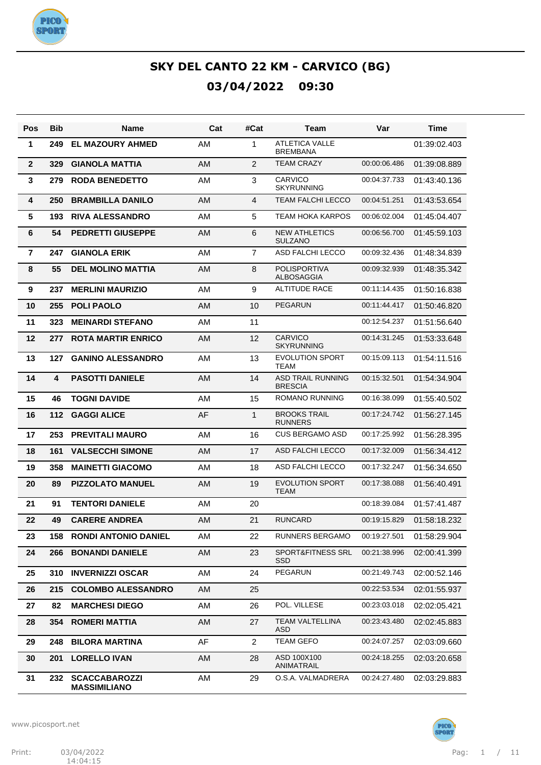

| Pos            | Bib | <b>Name</b>                                 | Cat | #Cat           | Team                                       | Var          | <b>Time</b>  |
|----------------|-----|---------------------------------------------|-----|----------------|--------------------------------------------|--------------|--------------|
| 1              | 249 | <b>EL MAZOURY AHMED</b>                     | AM  | $\mathbf{1}$   | <b>ATLETICA VALLE</b><br><b>BREMBANA</b>   |              | 01:39:02.403 |
| $\mathbf{2}$   | 329 | <b>GIANOLA MATTIA</b>                       | AM  | $\overline{2}$ | <b>TEAM CRAZY</b>                          | 00:00:06.486 | 01:39:08.889 |
| 3              | 279 | <b>RODA BENEDETTO</b>                       | AM  | 3              | <b>CARVICO</b><br><b>SKYRUNNING</b>        | 00:04:37.733 | 01:43:40.136 |
| 4              | 250 | <b>BRAMBILLA DANILO</b>                     | AM  | $\overline{4}$ | TEAM FALCHI LECCO                          | 00:04:51.251 | 01:43:53.654 |
| 5              | 193 | <b>RIVA ALESSANDRO</b>                      | AM  | 5              | TEAM HOKA KARPOS                           | 00:06:02.004 | 01:45:04.407 |
| 6              | 54  | <b>PEDRETTI GIUSEPPE</b>                    | AM  | 6              | <b>NEW ATHLETICS</b><br><b>SULZANO</b>     | 00:06:56.700 | 01:45:59.103 |
| $\overline{7}$ | 247 | <b>GIANOLA ERIK</b>                         | AM  | $\overline{7}$ | ASD FALCHI LECCO                           | 00:09:32.436 | 01:48:34.839 |
| 8              | 55  | <b>DEL MOLINO MATTIA</b>                    | AM  | 8              | <b>POLISPORTIVA</b><br><b>ALBOSAGGIA</b>   | 00:09:32.939 | 01:48:35.342 |
| 9              | 237 | <b>MERLINI MAURIZIO</b>                     | AM  | 9              | <b>ALTITUDE RACE</b>                       | 00:11:14.435 | 01:50:16.838 |
| 10             | 255 | <b>POLI PAOLO</b>                           | AM  | 10             | <b>PEGARUN</b>                             | 00:11:44.417 | 01:50:46.820 |
| 11             | 323 | <b>MEINARDI STEFANO</b>                     | AM  | 11             |                                            | 00:12:54.237 | 01:51:56.640 |
| 12             | 277 | <b>ROTA MARTIR ENRICO</b>                   | AM  | 12             | <b>CARVICO</b><br><b>SKYRUNNING</b>        | 00:14:31.245 | 01:53:33.648 |
| 13             | 127 | <b>GANINO ALESSANDRO</b>                    | AM  | 13             | <b>EVOLUTION SPORT</b><br><b>TEAM</b>      | 00:15:09.113 | 01:54:11.516 |
| 14             | 4   | <b>PASOTTI DANIELE</b>                      | AM  | 14             | <b>ASD TRAIL RUNNING</b><br><b>BRESCIA</b> | 00:15:32.501 | 01:54:34.904 |
| 15             | 46  | <b>TOGNI DAVIDE</b>                         | AM  | 15             | <b>ROMANO RUNNING</b>                      | 00:16:38.099 | 01:55:40.502 |
| 16             | 112 | <b>GAGGI ALICE</b>                          | AF  | $\mathbf{1}$   | <b>BROOKS TRAIL</b><br><b>RUNNERS</b>      | 00:17:24.742 | 01:56:27.145 |
| 17             | 253 | <b>PREVITALI MAURO</b>                      | AM  | 16             | <b>CUS BERGAMO ASD</b>                     | 00:17:25.992 | 01:56:28.395 |
| 18             | 161 | <b>VALSECCHI SIMONE</b>                     | AM  | 17             | ASD FALCHI LECCO                           | 00:17:32.009 | 01:56:34.412 |
| 19             | 358 | <b>MAINETTI GIACOMO</b>                     | AM  | 18             | ASD FALCHI LECCO                           | 00:17:32.247 | 01:56:34.650 |
| 20             | 89  | <b>PIZZOLATO MANUEL</b>                     | AM  | 19             | <b>EVOLUTION SPORT</b><br><b>TEAM</b>      | 00:17:38.088 | 01:56:40.491 |
| 21             | 91  | <b>TENTORI DANIELE</b>                      | AM  | 20             |                                            | 00:18:39.084 | 01:57:41.487 |
| 22             | 49  | <b>CARERE ANDREA</b>                        | AM  | 21             | <b>RUNCARD</b>                             | 00:19:15.829 | 01:58:18.232 |
| 23             | 158 | <b>RONDI ANTONIO DANIEL</b>                 | AM  | 22             | <b>RUNNERS BERGAMO</b>                     | 00:19:27.501 | 01:58:29.904 |
| 24             | 266 | <b>BONANDI DANIELE</b>                      | AM  | 23             | SPORT&FITNESS SRL<br><b>SSD</b>            | 00:21:38.996 | 02:00:41.399 |
| 25             | 310 | <b>INVERNIZZI OSCAR</b>                     | AM  | 24             | PEGARUN                                    | 00:21:49.743 | 02:00:52.146 |
| 26             | 215 | <b>COLOMBO ALESSANDRO</b>                   | AM  | 25             |                                            | 00:22:53.534 | 02:01:55.937 |
| 27             | 82  | <b>MARCHESI DIEGO</b>                       | AM  | 26             | POL. VILLESE                               | 00:23:03.018 | 02:02:05.421 |
| 28             | 354 | <b>ROMERI MATTIA</b>                        | AM  | 27             | <b>TEAM VALTELLINA</b><br>ASD              | 00:23:43.480 | 02:02:45.883 |
| 29             | 248 | <b>BILORA MARTINA</b>                       | AF  | $\overline{2}$ | <b>TEAM GEFO</b>                           | 00:24:07.257 | 02:03:09.660 |
| 30             | 201 | <b>LORELLO IVAN</b>                         | AM  | 28             | ASD 100X100<br>ANIMATRAIL                  | 00:24:18.255 | 02:03:20.658 |
| 31             | 232 | <b>SCACCABAROZZI</b><br><b>MASSIMILIANO</b> | AM  | 29             | O.S.A. VALMADRERA                          | 00:24:27.480 | 02:03:29.883 |

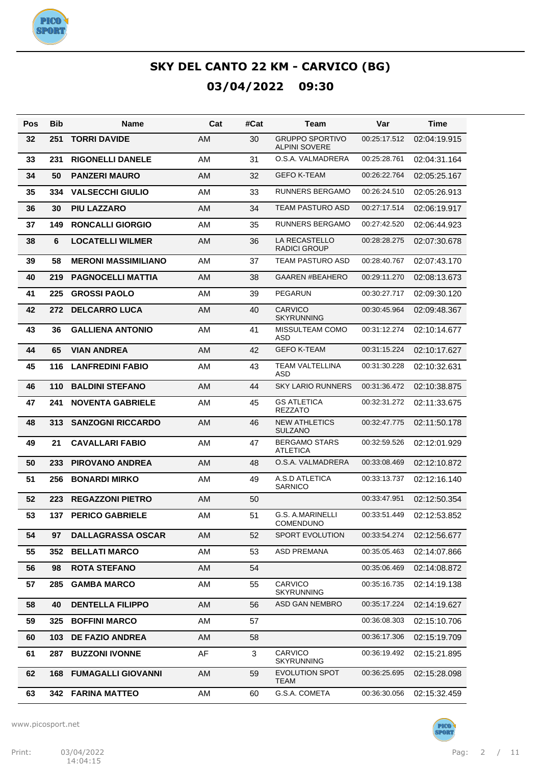

| Pos | Bib | Name                          | Cat | #Cat | Team                                           | Var          | Time         |
|-----|-----|-------------------------------|-----|------|------------------------------------------------|--------------|--------------|
| 32  | 251 | <b>TORRI DAVIDE</b>           | AM  | 30   | <b>GRUPPO SPORTIVO</b><br><b>ALPINI SOVERE</b> | 00:25:17.512 | 02:04:19.915 |
| 33  | 231 | <b>RIGONELLI DANELE</b>       | AM  | 31   | O.S.A. VALMADRERA                              | 00:25:28.761 | 02:04:31.164 |
| 34  | 50  | <b>PANZERI MAURO</b>          | AM  | 32   | <b>GEFO K-TEAM</b>                             | 00:26:22.764 | 02:05:25.167 |
| 35  | 334 | <b>VALSECCHI GIULIO</b>       | AM  | 33   | <b>RUNNERS BERGAMO</b>                         | 00:26:24.510 | 02:05:26.913 |
| 36  | 30  | <b>PIU LAZZARO</b>            | AM  | 34   | <b>TEAM PASTURO ASD</b>                        | 00:27:17.514 | 02:06:19.917 |
| 37  | 149 | <b>RONCALLI GIORGIO</b>       | AM  | 35   | <b>RUNNERS BERGAMO</b>                         | 00:27:42.520 | 02:06:44.923 |
| 38  | 6   | <b>LOCATELLI WILMER</b>       | AM  | 36   | LA RECASTELLO<br><b>RADICI GROUP</b>           | 00:28:28.275 | 02:07:30.678 |
| 39  | 58  | <b>MERONI MASSIMILIANO</b>    | AM  | 37   | <b>TEAM PASTURO ASD</b>                        | 00:28:40.767 | 02:07:43.170 |
| 40  | 219 | <b>PAGNOCELLI MATTIA</b>      | AM  | 38   | <b>GAAREN #BEAHERO</b>                         | 00:29:11.270 | 02:08:13.673 |
| 41  | 225 | <b>GROSSI PAOLO</b>           | AM  | 39   | <b>PEGARUN</b>                                 | 00:30:27.717 | 02:09:30.120 |
| 42  | 272 | <b>DELCARRO LUCA</b>          | AM  | 40   | <b>CARVICO</b><br><b>SKYRUNNING</b>            | 00:30:45.964 | 02:09:48.367 |
| 43  | 36  | <b>GALLIENA ANTONIO</b>       | AM  | 41   | MISSULTEAM COMO<br><b>ASD</b>                  | 00:31:12.274 | 02:10:14.677 |
| 44  | 65  | <b>VIAN ANDREA</b>            | AM  | 42   | <b>GEFO K-TEAM</b>                             | 00:31:15.224 | 02:10:17.627 |
| 45  | 116 | <b>LANFREDINI FABIO</b>       | AM  | 43   | <b>TEAM VALTELLINA</b><br>ASD                  | 00:31:30.228 | 02:10:32.631 |
| 46  | 110 | <b>BALDINI STEFANO</b>        | AM  | 44   | <b>SKY LARIO RUNNERS</b>                       | 00:31:36.472 | 02:10:38.875 |
| 47  | 241 | <b>NOVENTA GABRIELE</b>       | AM  | 45   | <b>GS ATLETICA</b><br><b>REZZATO</b>           | 00:32:31.272 | 02:11:33.675 |
| 48  | 313 | <b>SANZOGNI RICCARDO</b>      | AM  | 46   | <b>NEW ATHLETICS</b><br><b>SULZANO</b>         | 00:32:47.775 | 02:11:50.178 |
| 49  | 21  | <b>CAVALLARI FABIO</b>        | AM  | 47   | <b>BERGAMO STARS</b><br><b>ATLETICA</b>        | 00:32:59.526 | 02:12:01.929 |
| 50  | 233 | <b>PIROVANO ANDREA</b>        | AM  | 48   | O.S.A. VALMADRERA                              | 00:33:08.469 | 02:12:10.872 |
| 51  | 256 | <b>BONARDI MIRKO</b>          | AM  | 49   | A.S.D ATLETICA<br><b>SARNICO</b>               | 00:33:13.737 | 02:12:16.140 |
| 52  | 223 | <b>REGAZZONI PIETRO</b>       | AM  | 50   |                                                | 00:33:47.951 | 02:12:50.354 |
| 53  |     | <b>137 PERICO GABRIELE</b>    | AM  | 51   | G.S. A.MARINELLI<br>COMENDUNO                  | 00:33:51.449 | 02:12:53.852 |
| 54  | 97  | <b>DALLAGRASSA OSCAR</b>      | AM  | 52   | SPORT EVOLUTION                                | 00:33:54.274 | 02:12:56.677 |
| 55  | 352 | <b>BELLATI MARCO</b>          | AM  | 53   | <b>ASD PREMANA</b>                             | 00:35:05.463 | 02:14:07.866 |
| 56  | 98  | <b>ROTA STEFANO</b>           | AM  | 54   |                                                | 00:35:06.469 | 02:14:08.872 |
| 57  | 285 | <b>GAMBA MARCO</b>            | AM  | 55   | CARVICO<br><b>SKYRUNNING</b>                   | 00:35:16.735 | 02:14:19.138 |
| 58  | 40  | <b>DENTELLA FILIPPO</b>       | AM  | 56   | ASD GAN NEMBRO                                 | 00:35:17.224 | 02:14:19.627 |
| 59  | 325 | <b>BOFFINI MARCO</b>          | AM  | 57   |                                                | 00:36:08.303 | 02:15:10.706 |
| 60  | 103 | <b>DE FAZIO ANDREA</b>        | AM  | 58   |                                                | 00:36:17.306 | 02:15:19.709 |
| 61  | 287 | <b>BUZZONI IVONNE</b>         | AF  | 3    | <b>CARVICO</b><br><b>SKYRUNNING</b>            | 00:36:19.492 | 02:15:21.895 |
| 62  |     | <b>168 FUMAGALLI GIOVANNI</b> | AM  | 59   | <b>EVOLUTION SPOT</b><br><b>TEAM</b>           | 00:36:25.695 | 02:15:28.098 |
| 63  |     | 342 FARINA MATTEO             | AM  | 60   | G.S.A. COMETA                                  | 00:36:30.056 | 02:15:32.459 |

www.picosport.net



**PICO**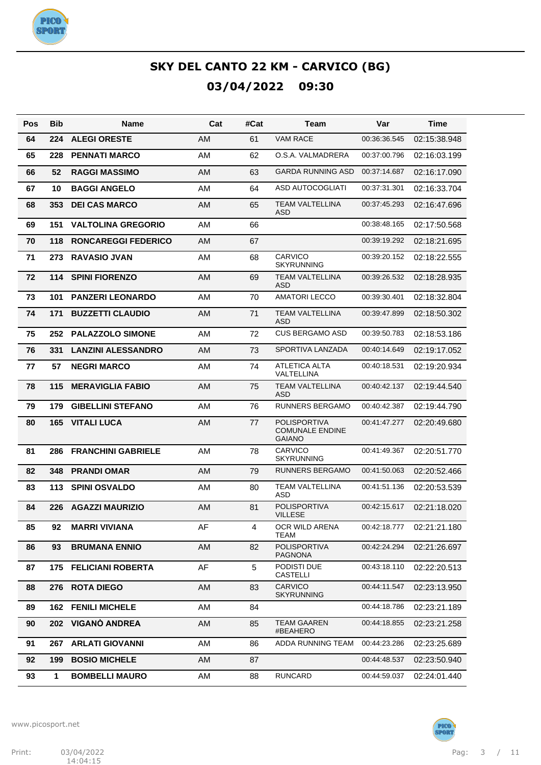

| Pos | Bib          | <b>Name</b>                | Cat       | #Cat | Team                                                    | Var          | <b>Time</b>  |
|-----|--------------|----------------------------|-----------|------|---------------------------------------------------------|--------------|--------------|
| 64  | 224          | <b>ALEGI ORESTE</b>        | AM        | 61   | <b>VAM RACE</b>                                         | 00:36:36.545 | 02:15:38.948 |
| 65  | 228          | <b>PENNATI MARCO</b>       | AM        | 62   | O.S.A. VALMADRERA                                       | 00:37:00.796 | 02:16:03.199 |
| 66  | 52           | <b>RAGGI MASSIMO</b>       | AM        | 63   | <b>GARDA RUNNING ASD</b>                                | 00:37:14.687 | 02:16:17.090 |
| 67  | 10           | <b>BAGGI ANGELO</b>        | AM        | 64   | ASD AUTOCOGLIATI                                        | 00:37:31.301 | 02:16:33.704 |
| 68  | 353          | <b>DEI CAS MARCO</b>       | AM        | 65   | <b>TEAM VALTELLINA</b><br><b>ASD</b>                    | 00:37:45.293 | 02:16:47.696 |
| 69  | 151          | <b>VALTOLINA GREGORIO</b>  | <b>AM</b> | 66   |                                                         | 00:38:48.165 | 02:17:50.568 |
| 70  | 118          | <b>RONCAREGGI FEDERICO</b> | AM        | 67   |                                                         | 00:39:19.292 | 02:18:21.695 |
| 71  | 273          | <b>RAVASIO JVAN</b>        | <b>AM</b> | 68   | CARVICO<br>SKYRUNNING                                   | 00:39:20.152 | 02:18:22.555 |
| 72  | 114          | <b>SPINI FIORENZO</b>      | AM        | 69   | <b>TEAM VALTELLINA</b><br><b>ASD</b>                    | 00:39:26.532 | 02:18:28.935 |
| 73  | 101          | <b>PANZERI LEONARDO</b>    | AM        | 70   | <b>AMATORI LECCO</b>                                    | 00:39:30.401 | 02:18:32.804 |
| 74  | 171          | <b>BUZZETTI CLAUDIO</b>    | AM        | 71   | <b>TEAM VALTELLINA</b><br><b>ASD</b>                    | 00:39:47.899 | 02:18:50.302 |
| 75  | 252          | <b>PALAZZOLO SIMONE</b>    | AM        | 72   | <b>CUS BERGAMO ASD</b>                                  | 00:39:50.783 | 02:18:53.186 |
| 76  | 331          | <b>LANZINI ALESSANDRO</b>  | AM        | 73   | SPORTIVA LANZADA                                        | 00:40:14.649 | 02:19:17.052 |
| 77  | 57           | <b>NEGRI MARCO</b>         | <b>AM</b> | 74   | <b>ATLETICA ALTA</b><br>VALTELLINA                      | 00:40:18.531 | 02:19:20.934 |
| 78  | 115          | <b>MERAVIGLIA FABIO</b>    | AM        | 75   | <b>TEAM VALTELLINA</b><br><b>ASD</b>                    | 00:40:42.137 | 02:19:44.540 |
| 79  | 179          | <b>GIBELLINI STEFANO</b>   | AM        | 76   | <b>RUNNERS BERGAMO</b>                                  | 00:40:42.387 | 02:19:44.790 |
| 80  | 165          | <b>VITALI LUCA</b>         | AM        | 77   | POLISPORTIVA<br><b>COMUNALE ENDINE</b><br><b>GAIANO</b> | 00:41:47.277 | 02:20:49.680 |
| 81  | 286          | <b>FRANCHINI GABRIELE</b>  | AM        | 78   | <b>CARVICO</b><br>SKYRUNNING                            | 00:41:49.367 | 02:20:51.770 |
| 82  | 348          | <b>PRANDI OMAR</b>         | <b>AM</b> | 79   | RUNNERS BERGAMO                                         | 00:41:50.063 | 02:20:52.466 |
| 83  | 113          | <b>SPINI OSVALDO</b>       | AM        | 80   | <b>TEAM VALTELLINA</b><br>ASD                           | 00:41:51.136 | 02:20:53.539 |
| 84  | 226          | <b>AGAZZI MAURIZIO</b>     | AM        | 81   | <b>POLISPORTIVA</b><br><b>VILLESE</b>                   | 00:42:15.617 | 02:21:18.020 |
| 85  | 92           | <b>MARRI VIVIANA</b>       | AF        | 4    | OCR WILD ARENA<br><b>TEAM</b>                           | 00:42:18.777 | 02:21:21.180 |
| 86  | 93           | <b>BRUMANA ENNIO</b>       | AM        | 82   | <b>POLISPORTIVA</b><br><b>PAGNONA</b>                   | 00:42:24.294 | 02:21:26.697 |
| 87  | 175          | <b>FELICIANI ROBERTA</b>   | AF        | 5    | PODISTI DUE<br><b>CASTELLI</b>                          | 00:43:18.110 | 02:22:20.513 |
| 88  | 276          | <b>ROTA DIEGO</b>          | AM        | 83   | CARVICO<br><b>SKYRUNNING</b>                            | 00:44:11.547 | 02:23:13.950 |
| 89  | 162          | <b>FENILI MICHELE</b>      | AM        | 84   |                                                         | 00:44:18.786 | 02:23:21.189 |
| 90  | 202          | VIGANÒ ANDREA              | AM        | 85   | <b>TEAM GAAREN</b><br>#BEAHERO                          | 00:44:18.855 | 02:23:21.258 |
| 91  | 267          | <b>ARLATI GIOVANNI</b>     | AM        | 86   | ADDA RUNNING TEAM                                       | 00:44:23.286 | 02:23:25.689 |
| 92  | 199          | <b>BOSIO MICHELE</b>       | AM        | 87   |                                                         | 00:44:48.537 | 02:23:50.940 |
| 93  | $\mathbf{1}$ | <b>BOMBELLI MAURO</b>      | AM        | 88   | <b>RUNCARD</b>                                          | 00:44:59.037 | 02:24:01.440 |

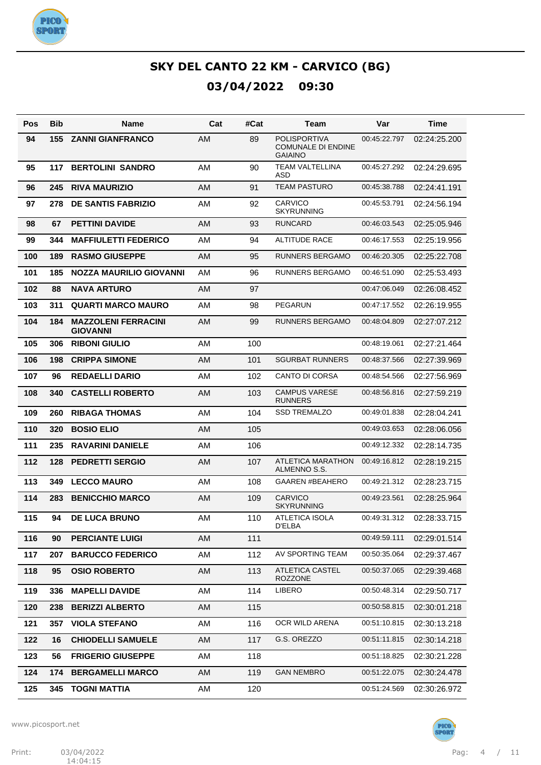

| Pos | Bib | Name                                          | Cat       | #Cat | Team                                                               | Var          | Time         |
|-----|-----|-----------------------------------------------|-----------|------|--------------------------------------------------------------------|--------------|--------------|
| 94  | 155 | <b>ZANNI GIANFRANCO</b>                       | <b>AM</b> | 89   | <b>POLISPORTIVA</b><br><b>COMUNALE DI ENDINE</b><br><b>GAIAINO</b> | 00:45:22.797 | 02:24:25.200 |
| 95  | 117 | <b>BERTOLINI SANDRO</b>                       | AM        | 90   | <b>TEAM VALTELLINA</b><br><b>ASD</b>                               | 00:45:27.292 | 02:24:29.695 |
| 96  | 245 | <b>RIVA MAURIZIO</b>                          | <b>AM</b> | 91   | <b>TEAM PASTURO</b>                                                | 00:45:38.788 | 02:24:41.191 |
| 97  | 278 | <b>DE SANTIS FABRIZIO</b>                     | AM        | 92   | <b>CARVICO</b><br><b>SKYRUNNING</b>                                | 00:45:53.791 | 02:24:56.194 |
| 98  | 67  | <b>PETTINI DAVIDE</b>                         | AM        | 93   | <b>RUNCARD</b>                                                     | 00:46:03.543 | 02:25:05.946 |
| 99  | 344 | <b>MAFFIULETTI FEDERICO</b>                   | AM        | 94   | <b>ALTITUDE RACE</b>                                               | 00:46:17.553 | 02:25:19.956 |
| 100 | 189 | <b>RASMO GIUSEPPE</b>                         | AM        | 95   | <b>RUNNERS BERGAMO</b>                                             | 00:46:20.305 | 02:25:22.708 |
| 101 | 185 | NOZZA MAURILIO GIOVANNI                       | AM        | 96   | <b>RUNNERS BERGAMO</b>                                             | 00:46:51.090 | 02:25:53.493 |
| 102 | 88  | <b>NAVA ARTURO</b>                            | AM        | 97   |                                                                    | 00:47:06.049 | 02:26:08.452 |
| 103 | 311 | <b>QUARTI MARCO MAURO</b>                     | AM        | 98   | <b>PEGARUN</b>                                                     | 00:47:17.552 | 02:26:19.955 |
| 104 | 184 | <b>MAZZOLENI FERRACINI</b><br><b>GIOVANNI</b> | <b>AM</b> | 99   | <b>RUNNERS BERGAMO</b>                                             | 00:48:04.809 | 02:27:07.212 |
| 105 | 306 | <b>RIBONI GIULIO</b>                          | AM        | 100  |                                                                    | 00:48:19.061 | 02:27:21.464 |
| 106 | 198 | <b>CRIPPA SIMONE</b>                          | <b>AM</b> | 101  | <b>SGURBAT RUNNERS</b>                                             | 00:48:37.566 | 02:27:39.969 |
| 107 | 96  | <b>REDAELLI DARIO</b>                         | AM        | 102  | <b>CANTO DI CORSA</b>                                              | 00:48:54.566 | 02:27:56.969 |
| 108 | 340 | <b>CASTELLI ROBERTO</b>                       | <b>AM</b> | 103  | <b>CAMPUS VARESE</b><br><b>RUNNERS</b>                             | 00:48:56.816 | 02:27:59.219 |
| 109 | 260 | <b>RIBAGA THOMAS</b>                          | AM        | 104  | <b>SSD TREMALZO</b>                                                | 00:49:01.838 | 02:28:04.241 |
| 110 | 320 | <b>BOSIO ELIO</b>                             | AM        | 105  |                                                                    | 00:49:03.653 | 02:28:06.056 |
| 111 | 235 | <b>RAVARINI DANIELE</b>                       | AM        | 106  |                                                                    | 00:49:12.332 | 02:28:14.735 |
| 112 | 128 | <b>PEDRETTI SERGIO</b>                        | AM        | 107  | ATLETICA MARATHON<br>ALMENNO S.S.                                  | 00:49:16.812 | 02:28:19.215 |
| 113 | 349 | <b>LECCO MAURO</b>                            | AM        | 108  | <b>GAAREN #BEAHERO</b>                                             | 00:49:21.312 | 02:28:23.715 |
| 114 | 283 | <b>BENICCHIO MARCO</b>                        | AM        | 109  | <b>CARVICO</b><br><b>SKYRUNNING</b>                                | 00:49:23.561 | 02:28:25.964 |
| 115 | 94  | <b>DE LUCA BRUNO</b>                          | AM        | 110  | <b>ATLETICA ISOLA</b><br>D'ELBA                                    | 00:49:31.312 | 02:28:33.715 |
| 116 | 90  | <b>PERCIANTE LUIGI</b>                        | AM        | 111  |                                                                    | 00:49:59.111 | 02:29:01.514 |
| 117 | 207 | <b>BARUCCO FEDERICO</b>                       | AM        | 112  | AV SPORTING TEAM                                                   | 00:50:35.064 | 02:29:37.467 |
| 118 | 95  | <b>OSIO ROBERTO</b>                           | AM        | 113  | ATLETICA CASTEL<br><b>ROZZONE</b>                                  | 00:50:37.065 | 02:29:39.468 |
| 119 | 336 | <b>MAPELLI DAVIDE</b>                         | AM        | 114  | LIBERO                                                             | 00:50:48.314 | 02:29:50.717 |
| 120 | 238 | <b>BERIZZI ALBERTO</b>                        | AM        | 115  |                                                                    | 00:50:58.815 | 02:30:01.218 |
| 121 | 357 | <b>VIOLA STEFANO</b>                          | AM        | 116  | OCR WILD ARENA                                                     | 00:51:10.815 | 02:30:13.218 |
| 122 | 16  | <b>CHIODELLI SAMUELE</b>                      | AM        | 117  | G.S. OREZZO                                                        | 00:51:11.815 | 02:30:14.218 |
| 123 | 56  | <b>FRIGERIO GIUSEPPE</b>                      | AM        | 118  |                                                                    | 00:51:18.825 | 02:30:21.228 |
| 124 | 174 | <b>BERGAMELLI MARCO</b>                       | AM        | 119  | <b>GAN NEMBRO</b>                                                  | 00:51:22.075 | 02:30:24.478 |
| 125 | 345 | TOGNI MATTIA                                  | AM        | 120  |                                                                    | 00:51:24.569 | 02:30:26.972 |

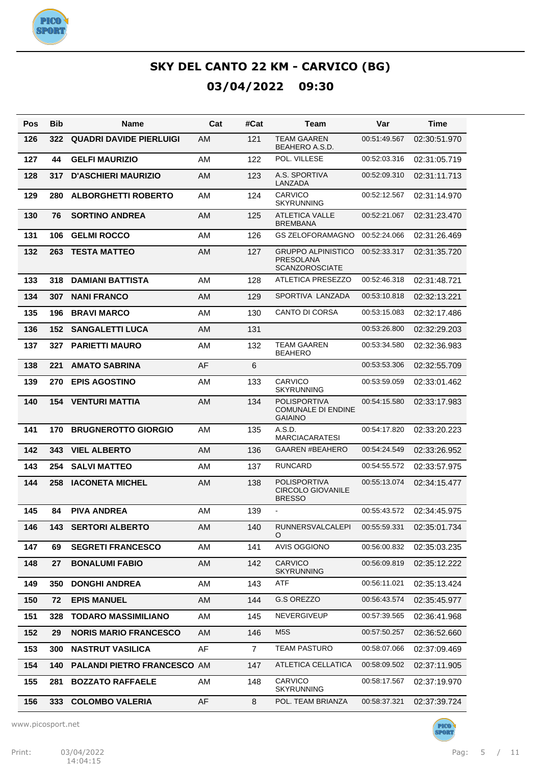

| Pos | <b>Bib</b> | Name                               | Cat | #Cat           | Team                                                                   | Var          | <b>Time</b>  |
|-----|------------|------------------------------------|-----|----------------|------------------------------------------------------------------------|--------------|--------------|
| 126 | 322        | <b>QUADRI DAVIDE PIERLUIGI</b>     | AM  | 121            | <b>TEAM GAAREN</b><br>BEAHERO A.S.D.                                   | 00:51:49.567 | 02:30:51.970 |
| 127 | 44         | <b>GELFI MAURIZIO</b>              | AM  | 122            | POL. VILLESE                                                           | 00:52:03.316 | 02:31:05.719 |
| 128 | 317        | <b>D'ASCHIERI MAURIZIO</b>         | AM  | 123            | A.S. SPORTIVA<br>LANZADA                                               | 00:52:09.310 | 02:31:11.713 |
| 129 | 280        | <b>ALBORGHETTI ROBERTO</b>         | AM  | 124            | <b>CARVICO</b><br><b>SKYRUNNING</b>                                    | 00:52:12.567 | 02:31:14.970 |
| 130 | 76         | <b>SORTINO ANDREA</b>              | AM  | 125            | <b>ATLETICA VALLE</b><br><b>BREMBANA</b>                               | 00:52:21.067 | 02:31:23.470 |
| 131 | 106        | <b>GELMI ROCCO</b>                 | AM  | 126            | <b>GS ZELOFORAMAGNO</b>                                                | 00:52:24.066 | 02:31:26.469 |
| 132 | 263        | <b>TESTA MATTEO</b>                | AM  | 127            | <b>GRUPPO ALPINISTICO</b><br><b>PRESOLANA</b><br><b>SCANZOROSCIATE</b> | 00:52:33.317 | 02:31:35.720 |
| 133 | 318        | <b>DAMIANI BATTISTA</b>            | AM  | 128            | <b>ATLETICA PRESEZZO</b>                                               | 00:52:46.318 | 02:31:48.721 |
| 134 | 307        | <b>NANI FRANCO</b>                 | AM  | 129            | SPORTIVA LANZADA                                                       | 00:53:10.818 | 02:32:13.221 |
| 135 | 196        | <b>BRAVI MARCO</b>                 | AM  | 130            | <b>CANTO DI CORSA</b>                                                  | 00:53:15.083 | 02:32:17.486 |
| 136 | 152        | <b>SANGALETTI LUCA</b>             | AM  | 131            |                                                                        | 00:53:26.800 | 02:32:29.203 |
| 137 | 327        | <b>PARIETTI MAURO</b>              | AM  | 132            | <b>TEAM GAAREN</b><br><b>BEAHERO</b>                                   | 00:53:34.580 | 02:32:36.983 |
| 138 | 221        | <b>AMATO SABRINA</b>               | AF  | 6              |                                                                        | 00:53:53.306 | 02:32:55.709 |
| 139 | 270        | <b>EPIS AGOSTINO</b>               | AM  | 133            | <b>CARVICO</b><br><b>SKYRUNNING</b>                                    | 00:53:59.059 | 02:33:01.462 |
| 140 | 154        | <b>VENTURI MATTIA</b>              | AM  | 134            | <b>POLISPORTIVA</b><br><b>COMUNALE DI ENDINE</b><br><b>GAIAINO</b>     | 00:54:15.580 | 02:33:17.983 |
| 141 | 170        | <b>BRUGNEROTTO GIORGIO</b>         | AM  | 135            | A.S.D.<br><b>MARCIACARATESI</b>                                        | 00:54:17.820 | 02:33:20.223 |
| 142 | 343        | <b>VIEL ALBERTO</b>                | AM  | 136            | <b>GAAREN #BEAHERO</b>                                                 | 00:54:24.549 | 02:33:26.952 |
| 143 | 254        | <b>SALVI MATTEO</b>                | AM  | 137            | <b>RUNCARD</b>                                                         | 00:54:55.572 | 02:33:57.975 |
| 144 | 258        | <b>IACONETA MICHEL</b>             | AM  | 138            | <b>POLISPORTIVA</b><br><b>CIRCOLO GIOVANILE</b><br><b>BRESSO</b>       | 00:55:13.074 | 02:34:15.477 |
| 145 | 84         | <b>PIVA ANDREA</b>                 | AM  | 139            |                                                                        | 00:55:43.572 | 02:34:45.975 |
| 146 |            | <b>143 SERTORI ALBERTO</b>         | AM  | 140            | <b>RUNNERSVALCALEPI</b><br>O                                           | 00:55:59.331 | 02:35:01.734 |
| 147 | 69         | <b>SEGRETI FRANCESCO</b>           | AM  | 141            | <b>AVIS OGGIONO</b>                                                    | 00:56:00.832 | 02:35:03.235 |
| 148 | 27         | <b>BONALUMI FABIO</b>              | AM  | 142            | <b>CARVICO</b><br><b>SKYRUNNING</b>                                    | 00:56:09.819 | 02:35:12.222 |
| 149 | 350        | <b>DONGHI ANDREA</b>               | AM  | 143            | ATF                                                                    | 00:56:11.021 | 02:35:13.424 |
| 150 | 72         | <b>EPIS MANUEL</b>                 | AM  | 144            | G.S OREZZO                                                             | 00:56:43.574 | 02:35:45.977 |
| 151 | 328        | <b>TODARO MASSIMILIANO</b>         | AM  | 145            | NEVERGIVEUP                                                            | 00:57:39.565 | 02:36:41.968 |
| 152 | 29         | <b>NORIS MARIO FRANCESCO</b>       | AM  | 146            | M <sub>5</sub> S                                                       | 00:57:50.257 | 02:36:52.660 |
| 153 | 300        | <b>NASTRUT VASILICA</b>            | AF  | $\overline{7}$ | <b>TEAM PASTURO</b>                                                    | 00:58:07.066 | 02:37:09.469 |
| 154 | 140        | <b>PALANDI PIETRO FRANCESCO AM</b> |     | 147            | ATLETICA CELLATICA                                                     | 00:58:09.502 | 02:37:11.905 |
| 155 | 281        | <b>BOZZATO RAFFAELE</b>            | AM  | 148            | CARVICO<br><b>SKYRUNNING</b>                                           | 00:58:17.567 | 02:37:19.970 |
| 156 | 333        | <b>COLOMBO VALERIA</b>             | AF  | 8              | POL. TEAM BRIANZA                                                      | 00:58:37.321 | 02:37:39.724 |

www.picosport.net

PICO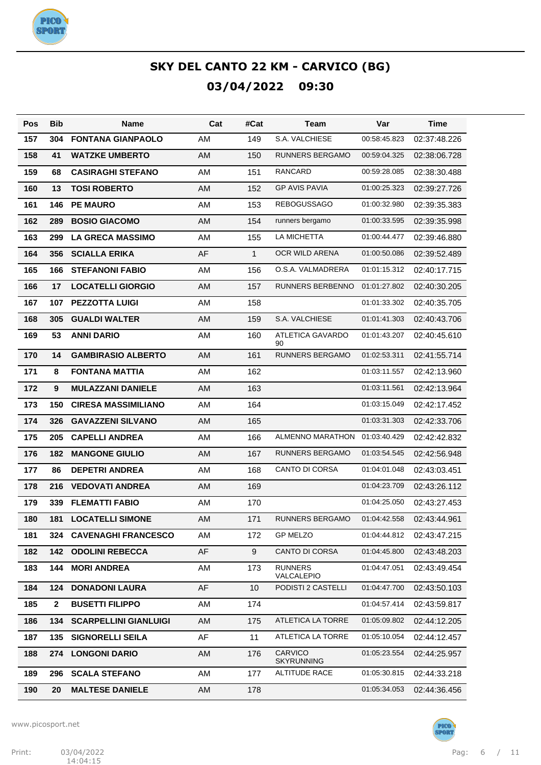

| Pos | <b>Bib</b>     | <b>Name</b>                  | Cat | #Cat         | Team                         | Var          | Time         |
|-----|----------------|------------------------------|-----|--------------|------------------------------|--------------|--------------|
| 157 | 304            | <b>FONTANA GIANPAOLO</b>     | AM  | 149          | S.A. VALCHIESE               | 00:58:45.823 | 02:37:48.226 |
| 158 | 41             | <b>WATZKE UMBERTO</b>        | AM  | 150          | <b>RUNNERS BERGAMO</b>       | 00:59:04.325 | 02:38:06.728 |
| 159 | 68             | <b>CASIRAGHI STEFANO</b>     | AM  | 151          | <b>RANCARD</b>               | 00:59:28.085 | 02:38:30.488 |
| 160 | 13             | <b>TOSI ROBERTO</b>          | AM  | 152          | <b>GP AVIS PAVIA</b>         | 01:00:25.323 | 02:39:27.726 |
| 161 | 146            | <b>PE MAURO</b>              | AM  | 153          | <b>REBOGUSSAGO</b>           | 01:00:32.980 | 02:39:35.383 |
| 162 | 289            | <b>BOSIO GIACOMO</b>         | AM  | 154          | runners bergamo              | 01:00:33.595 | 02:39:35.998 |
| 163 | 299            | <b>LA GRECA MASSIMO</b>      | AM  | 155          | <b>LA MICHETTA</b>           | 01:00:44.477 | 02:39:46.880 |
| 164 | 356            | <b>SCIALLA ERIKA</b>         | AF  | $\mathbf{1}$ | OCR WILD ARENA               | 01:00:50.086 | 02:39:52.489 |
| 165 | 166            | <b>STEFANONI FABIO</b>       | AM  | 156          | O.S.A. VALMADRERA            | 01:01:15.312 | 02:40:17.715 |
| 166 | 17             | <b>LOCATELLI GIORGIO</b>     | AM  | 157          | RUNNERS BERBENNO             | 01:01:27.802 | 02:40:30.205 |
| 167 | 107            | <b>PEZZOTTA LUIGI</b>        | AM  | 158          |                              | 01:01:33.302 | 02:40:35.705 |
| 168 | 305            | <b>GUALDI WALTER</b>         | AM  | 159          | S.A. VALCHIESE               | 01:01:41.303 | 02:40:43.706 |
| 169 | 53             | <b>ANNI DARIO</b>            | AM  | 160          | ATLETICA GAVARDO<br>90       | 01:01:43.207 | 02:40:45.610 |
| 170 | 14             | <b>GAMBIRASIO ALBERTO</b>    | AM  | 161          | RUNNERS BERGAMO              | 01:02:53.311 | 02:41:55.714 |
| 171 | 8              | <b>FONTANA MATTIA</b>        | AM  | 162          |                              | 01:03:11.557 | 02:42:13.960 |
| 172 | 9              | <b>MULAZZANI DANIELE</b>     | AM  | 163          |                              | 01:03:11.561 | 02:42:13.964 |
| 173 | 150            | <b>CIRESA MASSIMILIANO</b>   | AM  | 164          |                              | 01:03:15.049 | 02:42:17.452 |
| 174 | 326            | <b>GAVAZZENI SILVANO</b>     | AM  | 165          |                              | 01:03:31.303 | 02:42:33.706 |
| 175 | 205            | <b>CAPELLI ANDREA</b>        | AM  | 166          | ALMENNO MARATHON             | 01:03:40.429 | 02:42:42.832 |
| 176 | 182            | <b>MANGONE GIULIO</b>        | AM  | 167          | RUNNERS BERGAMO              | 01:03:54.545 | 02:42:56.948 |
| 177 | 86             | <b>DEPETRI ANDREA</b>        | AM  | 168          | <b>CANTO DI CORSA</b>        | 01:04:01.048 | 02:43:03.451 |
| 178 | 216            | <b>VEDOVATI ANDREA</b>       | AM  | 169          |                              | 01:04:23.709 | 02:43:26.112 |
| 179 | 339            | <b>FLEMATTI FABIO</b>        | AM  | 170          |                              | 01:04:25.050 | 02:43:27.453 |
| 180 | 181            | <b>LOCATELLI SIMONE</b>      | AM  | 171          | RUNNERS BERGAMO              | 01:04:42.558 | 02:43:44.961 |
| 181 | 324            | <b>CAVENAGHI FRANCESCO</b>   | AM  | 172          | <b>GP MELZO</b>              | 01:04:44.812 | 02:43:47.215 |
| 182 | 142            | <b>ODOLINI REBECCA</b>       | AF  | 9            | <b>CANTO DI CORSA</b>        | 01:04:45.800 | 02:43:48.203 |
| 183 | 144            | <b>MORI ANDREA</b>           | AM  | 173          | <b>RUNNERS</b><br>VALCALEPIO | 01:04:47.051 | 02:43:49.454 |
| 184 | 124            | <b>DONADONI LAURA</b>        | AF  | 10           | PODISTI 2 CASTELLI           | 01:04:47.700 | 02:43:50.103 |
| 185 | $\overline{2}$ | <b>BUSETTI FILIPPO</b>       | AM  | 174          |                              | 01:04:57.414 | 02:43:59.817 |
| 186 | 134            | <b>SCARPELLINI GIANLUIGI</b> | AM  | 175          | ATLETICA LA TORRE            | 01:05:09.802 | 02:44:12.205 |
| 187 | 135            | <b>SIGNORELLI SEILA</b>      | AF  | 11           | ATLETICA LA TORRE            | 01:05:10.054 | 02:44:12.457 |
| 188 | 274            | <b>LONGONI DARIO</b>         | AM  | 176          | CARVICO<br><b>SKYRUNNING</b> | 01:05:23.554 | 02:44:25.957 |
| 189 | 296            | <b>SCALA STEFANO</b>         | AM  | 177          | <b>ALTITUDE RACE</b>         | 01:05:30.815 | 02:44:33.218 |
| 190 | 20             | <b>MALTESE DANIELE</b>       | AM  | 178          |                              | 01:05:34.053 | 02:44:36.456 |

www.picosport.net



**PICO<sup>.</sup>**<br>SPORT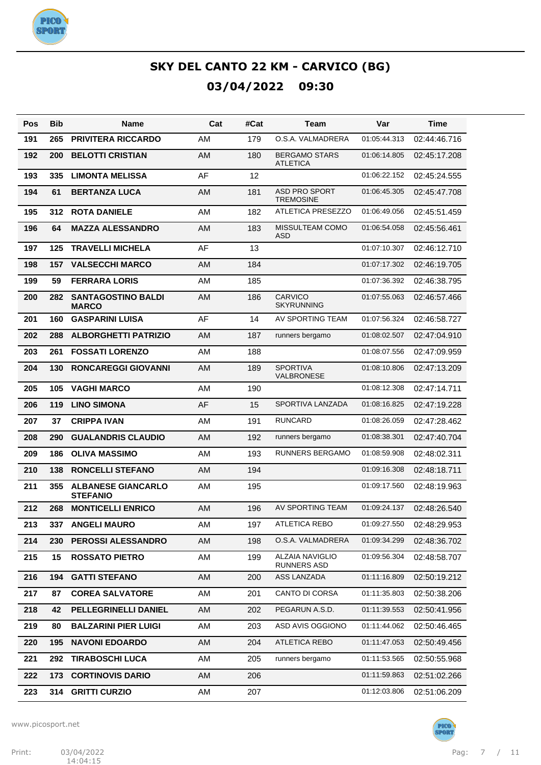

| Pos | <b>Bib</b> | Name                                         | Cat       | #Cat | <b>Team</b>                                  | Var          | Time         |
|-----|------------|----------------------------------------------|-----------|------|----------------------------------------------|--------------|--------------|
| 191 | 265        | <b>PRIVITERA RICCARDO</b>                    | <b>AM</b> | 179  | O.S.A. VALMADRERA                            | 01:05:44.313 | 02:44:46.716 |
| 192 | 200        | <b>BELOTTI CRISTIAN</b>                      | <b>AM</b> | 180  | <b>BERGAMO STARS</b><br><b>ATLETICA</b>      | 01:06:14.805 | 02:45:17.208 |
| 193 | 335        | <b>LIMONTA MELISSA</b>                       | AF        | 12   |                                              | 01:06:22.152 | 02:45:24.555 |
| 194 | 61         | <b>BERTANZA LUCA</b>                         | <b>AM</b> | 181  | <b>ASD PRO SPORT</b><br><b>TREMOSINE</b>     | 01:06:45.305 | 02:45:47.708 |
| 195 | 312        | <b>ROTA DANIELE</b>                          | AM        | 182  | <b>ATLETICA PRESEZZO</b>                     | 01:06:49.056 | 02:45:51.459 |
| 196 | 64         | <b>MAZZA ALESSANDRO</b>                      | AM        | 183  | MISSULTEAM COMO<br>ASD                       | 01:06:54.058 | 02:45:56.461 |
| 197 | 125        | <b>TRAVELLI MICHELA</b>                      | AF        | 13   |                                              | 01:07:10.307 | 02:46:12.710 |
| 198 | 157        | <b>VALSECCHI MARCO</b>                       | AM        | 184  |                                              | 01:07:17.302 | 02:46:19.705 |
| 199 | 59         | <b>FERRARA LORIS</b>                         | <b>AM</b> | 185  |                                              | 01:07:36.392 | 02:46:38.795 |
| 200 | 282        | <b>SANTAGOSTINO BALDI</b><br><b>MARCO</b>    | <b>AM</b> | 186  | <b>CARVICO</b><br><b>SKYRUNNING</b>          | 01:07:55.063 | 02:46:57.466 |
| 201 | 160        | <b>GASPARINI LUISA</b>                       | AF        | 14   | AV SPORTING TEAM                             | 01:07:56.324 | 02:46:58.727 |
| 202 | 288        | <b>ALBORGHETTI PATRIZIO</b>                  | <b>AM</b> | 187  | runners bergamo                              | 01:08:02.507 | 02:47:04.910 |
| 203 | 261        | <b>FOSSATI LORENZO</b>                       | AM        | 188  |                                              | 01:08:07.556 | 02:47:09.959 |
| 204 | 130        | <b>RONCAREGGI GIOVANNI</b>                   | <b>AM</b> | 189  | <b>SPORTIVA</b><br>VALBRONESE                | 01:08:10.806 | 02:47:13.209 |
| 205 | 105        | <b>VAGHI MARCO</b>                           | AM        | 190  |                                              | 01:08:12.308 | 02:47:14.711 |
| 206 | 119        | <b>LINO SIMONA</b>                           | AF        | 15   | SPORTIVA LANZADA                             | 01:08:16.825 | 02:47:19.228 |
| 207 | 37         | <b>CRIPPA IVAN</b>                           | AM        | 191  | <b>RUNCARD</b>                               | 01:08:26.059 | 02:47:28.462 |
| 208 | 290        | <b>GUALANDRIS CLAUDIO</b>                    | <b>AM</b> | 192  | runners bergamo                              | 01:08:38.301 | 02:47:40.704 |
| 209 | 186        | <b>OLIVA MASSIMO</b>                         | AM        | 193  | <b>RUNNERS BERGAMO</b>                       | 01:08:59.908 | 02:48:02.311 |
| 210 | 138        | <b>RONCELLI STEFANO</b>                      | <b>AM</b> | 194  |                                              | 01:09:16.308 | 02:48:18.711 |
| 211 | 355        | <b>ALBANESE GIANCARLO</b><br><b>STEFANIO</b> | AM        | 195  |                                              | 01:09:17.560 | 02:48:19.963 |
| 212 | 268        | <b>MONTICELLI ENRICO</b>                     | AM        | 196  | AV SPORTING TEAM                             | 01:09:24.137 | 02:48:26.540 |
| 213 |            | 337 ANGELI MAURO                             | AM        | 197  | ATLETICA REBO                                | 01:09:27.550 | 02:48:29.953 |
| 214 | 230        | PEROSSI ALESSANDRO                           | AM        | 198  | O.S.A. VALMADRERA                            | 01:09:34.299 | 02:48:36.702 |
| 215 | 15         | <b>ROSSATO PIETRO</b>                        | AM        | 199  | <b>ALZAIA NAVIGLIO</b><br><b>RUNNERS ASD</b> | 01:09:56.304 | 02:48:58.707 |
| 216 | 194        | <b>GATTI STEFANO</b>                         | AM        | 200  | ASS LANZADA                                  | 01:11:16.809 | 02:50:19.212 |
| 217 | 87         | <b>COREA SALVATORE</b>                       | AM        | 201  | CANTO DI CORSA                               | 01:11:35.803 | 02:50:38.206 |
| 218 | 42         | PELLEGRINELLI DANIEL                         | AM        | 202  | PEGARUN A.S.D.                               | 01:11:39.553 | 02:50:41.956 |
| 219 | 80         | <b>BALZARINI PIER LUIGI</b>                  | AM        | 203  | ASD AVIS OGGIONO                             | 01:11:44.062 | 02:50:46.465 |
| 220 | 195        | <b>NAVONI EDOARDO</b>                        | AM        | 204  | <b>ATLETICA REBO</b>                         | 01:11:47.053 | 02:50:49.456 |
| 221 | 292        | <b>TIRABOSCHI LUCA</b>                       | AM        | 205  | runners bergamo                              | 01:11:53.565 | 02:50:55.968 |
| 222 | 173        | <b>CORTINOVIS DARIO</b>                      | AM        | 206  |                                              | 01:11:59.863 | 02:51:02.266 |
| 223 | 314        | <b>GRITTI CURZIO</b>                         | AM        | 207  |                                              | 01:12:03.806 | 02:51:06.209 |

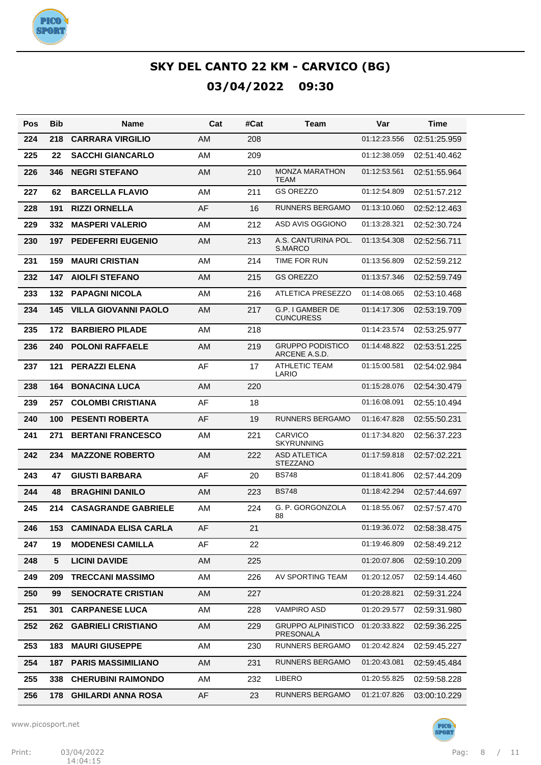

| Pos | Bib | Name                        | Cat | #Cat | Team                                     | Var          | Time         |
|-----|-----|-----------------------------|-----|------|------------------------------------------|--------------|--------------|
| 224 | 218 | <b>CARRARA VIRGILIO</b>     | AM  | 208  |                                          | 01:12:23.556 | 02:51:25.959 |
| 225 | 22  | <b>SACCHI GIANCARLO</b>     | AM  | 209  |                                          | 01:12:38.059 | 02:51:40.462 |
| 226 | 346 | <b>NEGRI STEFANO</b>        | AM  | 210  | <b>MONZA MARATHON</b><br><b>TEAM</b>     | 01:12:53.561 | 02:51:55.964 |
| 227 | 62  | <b>BARCELLA FLAVIO</b>      | AM  | 211  | <b>GS OREZZO</b>                         | 01:12:54.809 | 02:51:57.212 |
| 228 | 191 | <b>RIZZI ORNELLA</b>        | AF  | 16   | <b>RUNNERS BERGAMO</b>                   | 01:13:10.060 | 02:52:12.463 |
| 229 | 332 | <b>MASPERI VALERIO</b>      | AM  | 212  | ASD AVIS OGGIONO                         | 01:13:28.321 | 02:52:30.724 |
| 230 | 197 | <b>PEDEFERRI EUGENIO</b>    | AM  | 213  | A.S. CANTURINA POL.<br>S.MARCO           | 01:13:54.308 | 02:52:56.711 |
| 231 | 159 | <b>MAURI CRISTIAN</b>       | AM  | 214  | TIME FOR RUN                             | 01:13:56.809 | 02:52:59.212 |
| 232 | 147 | <b>AIOLFI STEFANO</b>       | AM  | 215  | <b>GS OREZZO</b>                         | 01:13:57.346 | 02:52:59.749 |
| 233 | 132 | <b>PAPAGNI NICOLA</b>       | AM  | 216  | <b>ATLETICA PRESEZZO</b>                 | 01:14:08.065 | 02:53:10.468 |
| 234 | 145 | <b>VILLA GIOVANNI PAOLO</b> | AM  | 217  | G.P. I GAMBER DE<br><b>CUNCURESS</b>     | 01:14:17.306 | 02:53:19.709 |
| 235 | 172 | <b>BARBIERO PILADE</b>      | AM  | 218  |                                          | 01:14:23.574 | 02:53:25.977 |
| 236 | 240 | <b>POLONI RAFFAELE</b>      | AM  | 219  | <b>GRUPPO PODISTICO</b><br>ARCENE A.S.D. | 01:14:48.822 | 02:53:51.225 |
| 237 | 121 | <b>PERAZZI ELENA</b>        | AF  | 17   | <b>ATHLETIC TEAM</b><br>LARIO            | 01:15:00.581 | 02:54:02.984 |
| 238 | 164 | <b>BONACINA LUCA</b>        | AM  | 220  |                                          | 01:15:28.076 | 02:54:30.479 |
| 239 | 257 | <b>COLOMBI CRISTIANA</b>    | AF  | 18   |                                          | 01:16:08.091 | 02:55:10.494 |
| 240 | 100 | <b>PESENTI ROBERTA</b>      | AF  | 19   | <b>RUNNERS BERGAMO</b>                   | 01:16:47.828 | 02:55:50.231 |
| 241 | 271 | <b>BERTANI FRANCESCO</b>    | AM  | 221  | <b>CARVICO</b><br><b>SKYRUNNING</b>      | 01:17:34.820 | 02:56:37.223 |
| 242 | 234 | <b>MAZZONE ROBERTO</b>      | AM  | 222  | <b>ASD ATLETICA</b><br><b>STEZZANO</b>   | 01:17:59.818 | 02:57:02.221 |
| 243 | 47  | <b>GIUSTI BARBARA</b>       | AF  | 20   | <b>BS748</b>                             | 01:18:41.806 | 02:57:44.209 |
| 244 | 48  | <b>BRAGHINI DANILO</b>      | AM  | 223  | <b>BS748</b>                             | 01:18:42.294 | 02:57:44.697 |
| 245 | 214 | <b>CASAGRANDE GABRIELE</b>  | AM  | 224  | G. P. GORGONZOLA<br>88                   | 01:18:55.067 | 02:57:57.470 |
| 246 | 153 | <b>CAMINADA ELISA CARLA</b> | AF  | 21   |                                          | 01:19:36.072 | 02:58:38.475 |
| 247 | 19  | <b>MODENESI CAMILLA</b>     | AF  | 22   |                                          | 01:19:46.809 | 02:58:49.212 |
| 248 | 5   | <b>LICINI DAVIDE</b>        | AM  | 225  |                                          | 01:20:07.806 | 02:59:10.209 |
| 249 | 209 | <b>TRECCANI MASSIMO</b>     | AM  | 226  | AV SPORTING TEAM                         | 01:20:12.057 | 02:59:14.460 |
| 250 | 99  | <b>SENOCRATE CRISTIAN</b>   | AM  | 227  |                                          | 01:20:28.821 | 02:59:31.224 |
| 251 | 301 | <b>CARPANESE LUCA</b>       | AM  | 228  | <b>VAMPIRO ASD</b>                       | 01:20:29.577 | 02:59:31.980 |
| 252 | 262 | <b>GABRIELI CRISTIANO</b>   | AM  | 229  | <b>GRUPPO ALPINISTICO</b><br>PRESONALA   | 01:20:33.822 | 02:59:36.225 |
| 253 | 183 | <b>MAURI GIUSEPPE</b>       | AM  | 230  | RUNNERS BERGAMO                          | 01:20:42.824 | 02:59:45.227 |
| 254 | 187 | <b>PARIS MASSIMILIANO</b>   | AM  | 231  | RUNNERS BERGAMO                          | 01:20:43.081 | 02:59:45.484 |
| 255 | 338 | <b>CHERUBINI RAIMONDO</b>   | AM  | 232  | LIBERO                                   | 01:20:55.825 | 02:59:58.228 |
| 256 | 178 | <b>GHILARDI ANNA ROSA</b>   | AF  | 23   | RUNNERS BERGAMO                          | 01:21:07.826 | 03:00:10.229 |

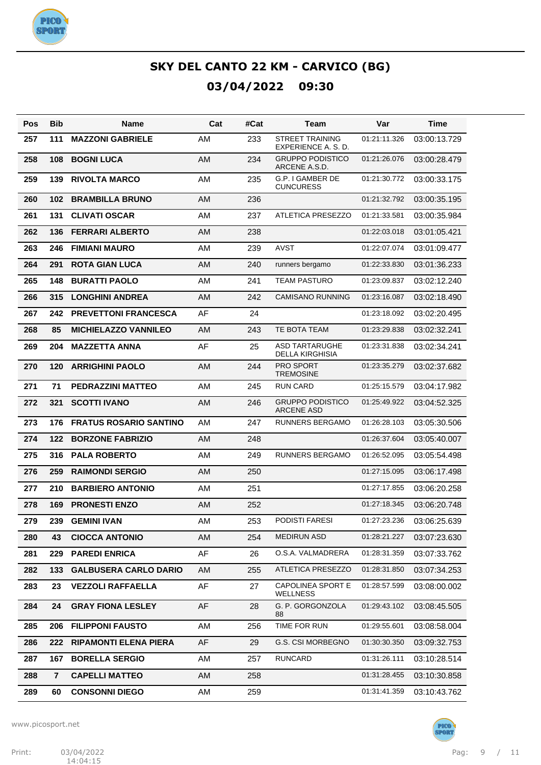

| Pos | Bib                     | Name                          | Cat       | #Cat | Team                                          | Var          | Time         |
|-----|-------------------------|-------------------------------|-----------|------|-----------------------------------------------|--------------|--------------|
| 257 | 111                     | <b>MAZZONI GABRIELE</b>       | AM        | 233  | <b>STREET TRAINING</b><br>EXPERIENCE A. S. D. | 01:21:11.326 | 03:00:13.729 |
| 258 | 108                     | <b>BOGNI LUCA</b>             | <b>AM</b> | 234  | <b>GRUPPO PODISTICO</b><br>ARCENE A.S.D.      | 01:21:26.076 | 03:00:28.479 |
| 259 | 139                     | <b>RIVOLTA MARCO</b>          | AM        | 235  | G.P. I GAMBER DE<br><b>CUNCURESS</b>          | 01:21:30.772 | 03:00:33.175 |
| 260 | 102                     | <b>BRAMBILLA BRUNO</b>        | AM        | 236  |                                               | 01:21:32.792 | 03:00:35.195 |
| 261 | 131                     | <b>CLIVATI OSCAR</b>          | AM        | 237  | <b>ATLETICA PRESEZZO</b>                      | 01:21:33.581 | 03:00:35.984 |
| 262 | 136                     | <b>FERRARI ALBERTO</b>        | AM        | 238  |                                               | 01:22:03.018 | 03:01:05.421 |
| 263 | 246                     | <b>FIMIANI MAURO</b>          | AM        | 239  | AVST                                          | 01:22:07.074 | 03:01:09.477 |
| 264 | 291                     | <b>ROTA GIAN LUCA</b>         | AM        | 240  | runners bergamo                               | 01:22:33.830 | 03:01:36.233 |
| 265 | 148                     | <b>BURATTI PAOLO</b>          | AM        | 241  | <b>TEAM PASTURO</b>                           | 01:23:09.837 | 03:02:12.240 |
| 266 | 315                     | <b>LONGHINI ANDREA</b>        | AM        | 242  | <b>CAMISANO RUNNING</b>                       | 01:23:16.087 | 03:02:18.490 |
| 267 | 242                     | <b>PREVETTONI FRANCESCA</b>   | AF        | 24   |                                               | 01:23:18.092 | 03:02:20.495 |
| 268 | 85                      | <b>MICHIELAZZO VANNILEO</b>   | AM        | 243  | TE BOTA TEAM                                  | 01:23:29.838 | 03:02:32.241 |
| 269 | 204                     | <b>MAZZETTA ANNA</b>          | AF        | 25   | ASD TARTARUGHE<br>DELLA KIRGHISIA             | 01:23:31.838 | 03:02:34.241 |
| 270 | 120                     | <b>ARRIGHINI PAOLO</b>        | AM        | 244  | PRO SPORT<br><b>TREMOSINE</b>                 | 01:23:35.279 | 03:02:37.682 |
| 271 | 71                      | <b>PEDRAZZINI MATTEO</b>      | AM        | 245  | <b>RUN CARD</b>                               | 01:25:15.579 | 03:04:17.982 |
| 272 | 321                     | <b>SCOTTI IVANO</b>           | AM        | 246  | <b>GRUPPO PODISTICO</b><br><b>ARCENE ASD</b>  | 01:25:49.922 | 03:04:52.325 |
| 273 | 176                     | <b>FRATUS ROSARIO SANTINO</b> | AM        | 247  | <b>RUNNERS BERGAMO</b>                        | 01:26:28.103 | 03:05:30.506 |
| 274 | 122                     | <b>BORZONE FABRIZIO</b>       | AM        | 248  |                                               | 01:26:37.604 | 03:05:40.007 |
| 275 | 316                     | <b>PALA ROBERTO</b>           | AM        | 249  | <b>RUNNERS BERGAMO</b>                        | 01:26:52.095 | 03:05:54.498 |
| 276 | 259                     | <b>RAIMONDI SERGIO</b>        | AM        | 250  |                                               | 01:27:15.095 | 03:06:17.498 |
| 277 | 210                     | <b>BARBIERO ANTONIO</b>       | AM        | 251  |                                               | 01:27:17.855 | 03:06:20.258 |
| 278 | 169                     | <b>PRONESTI ENZO</b>          | AM        | 252  |                                               | 01:27:18.345 | 03:06:20.748 |
| 279 | 239                     | <b>GEMINI IVAN</b>            | AM        | 253  | PODISTI FARESI                                | 01:27:23.236 | 03:06:25.639 |
| 280 | 43                      | <b>CIOCCA ANTONIO</b>         | AM        | 254  | <b>MEDIRUN ASD</b>                            | 01:28:21.227 | 03:07:23.630 |
| 281 | 229                     | <b>PAREDI ENRICA</b>          | AF        | 26   | O.S.A. VALMADRERA                             | 01:28:31.359 | 03:07:33.762 |
| 282 | 133                     | <b>GALBUSERA CARLO DARIO</b>  | AM        | 255  | ATLETICA PRESEZZO                             | 01:28:31.850 | 03:07:34.253 |
| 283 | 23                      | <b>VEZZOLI RAFFAELLA</b>      | AF        | 27   | <b>CAPOLINEA SPORT E</b><br>WELLNESS          | 01:28:57.599 | 03:08:00.002 |
| 284 | 24                      | <b>GRAY FIONA LESLEY</b>      | AF        | 28   | G. P. GORGONZOLA<br>88                        | 01:29:43.102 | 03:08:45.505 |
| 285 | 206                     | <b>FILIPPONI FAUSTO</b>       | AM        | 256  | TIME FOR RUN                                  | 01:29:55.601 | 03:08:58.004 |
| 286 | 222                     | <b>RIPAMONTI ELENA PIERA</b>  | AF        | 29   | <b>G.S. CSI MORBEGNO</b>                      | 01:30:30.350 | 03:09:32.753 |
| 287 | 167                     | <b>BORELLA SERGIO</b>         | AM        | 257  | RUNCARD                                       | 01:31:26.111 | 03:10:28.514 |
| 288 | $\overline{\mathbf{r}}$ | <b>CAPELLI MATTEO</b>         | AM        | 258  |                                               | 01:31:28.455 | 03:10:30.858 |
| 289 | 60                      | <b>CONSONNI DIEGO</b>         | AM        | 259  |                                               | 01:31:41.359 | 03:10:43.762 |

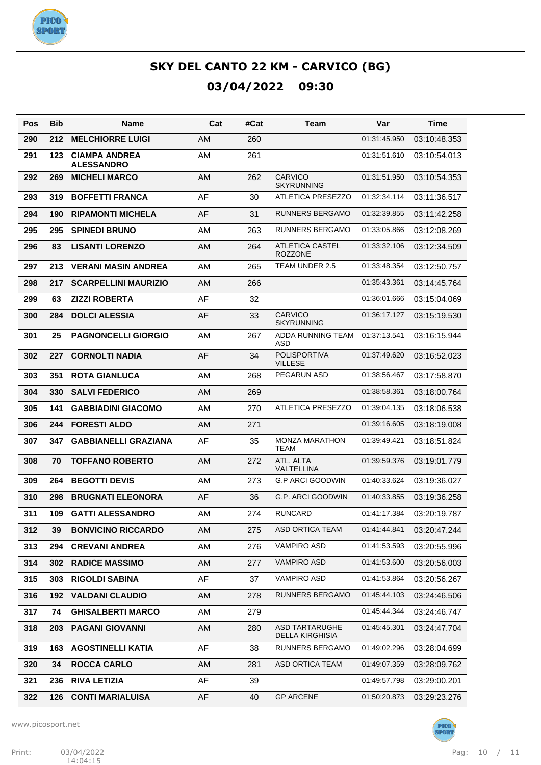

| Pos | <b>Bib</b> | Name                                      | Cat | #Cat | Team                                     | Var          | Time         |
|-----|------------|-------------------------------------------|-----|------|------------------------------------------|--------------|--------------|
| 290 | 212        | <b>MELCHIORRE LUIGI</b>                   | AM  | 260  |                                          | 01:31:45.950 | 03:10:48.353 |
| 291 | 123        | <b>CIAMPA ANDREA</b><br><b>ALESSANDRO</b> | AM  | 261  |                                          | 01:31:51.610 | 03:10:54.013 |
| 292 | 269        | <b>MICHELI MARCO</b>                      | AM  | 262  | <b>CARVICO</b><br><b>SKYRUNNING</b>      | 01:31:51.950 | 03:10:54.353 |
| 293 | 319        | <b>BOFFETTI FRANCA</b>                    | AF  | 30   | <b>ATLETICA PRESEZZO</b>                 | 01:32:34.114 | 03:11:36.517 |
| 294 | 190        | <b>RIPAMONTI MICHELA</b>                  | AF  | 31   | <b>RUNNERS BERGAMO</b>                   | 01:32:39.855 | 03:11:42.258 |
| 295 | 295        | <b>SPINEDI BRUNO</b>                      | AM  | 263  | <b>RUNNERS BERGAMO</b>                   | 01:33:05.866 | 03:12:08.269 |
| 296 | 83         | <b>LISANTI LORENZO</b>                    | AM  | 264  | <b>ATLETICA CASTEL</b><br><b>ROZZONE</b> | 01:33:32.106 | 03:12:34.509 |
| 297 | 213        | <b>VERANI MASIN ANDREA</b>                | AM  | 265  | TEAM UNDER 2.5                           | 01:33:48.354 | 03:12:50.757 |
| 298 | 217        | <b>SCARPELLINI MAURIZIO</b>               | AM  | 266  |                                          | 01:35:43.361 | 03:14:45.764 |
| 299 | 63         | <b>ZIZZI ROBERTA</b>                      | AF  | 32   |                                          | 01:36:01.666 | 03:15:04.069 |
| 300 | 284        | <b>DOLCI ALESSIA</b>                      | AF  | 33   | <b>CARVICO</b><br><b>SKYRUNNING</b>      | 01:36:17.127 | 03:15:19.530 |
| 301 | 25         | <b>PAGNONCELLI GIORGIO</b>                | AM  | 267  | ADDA RUNNING TEAM<br>ASD                 | 01:37:13.541 | 03:16:15.944 |
| 302 | 227        | <b>CORNOLTI NADIA</b>                     | AF  | 34   | <b>POLISPORTIVA</b><br><b>VILLESE</b>    | 01:37:49.620 | 03:16:52.023 |
| 303 | 351        | <b>ROTA GIANLUCA</b>                      | AM  | 268  | PEGARUN ASD                              | 01:38:56.467 | 03:17:58.870 |
| 304 | 330        | <b>SALVI FEDERICO</b>                     | AM  | 269  |                                          | 01:38:58.361 | 03:18:00.764 |
| 305 | 141        | <b>GABBIADINI GIACOMO</b>                 | AM  | 270  | <b>ATLETICA PRESEZZO</b>                 | 01:39:04.135 | 03:18:06.538 |
| 306 | 244        | <b>FORESTI ALDO</b>                       | AM  | 271  |                                          | 01:39:16.605 | 03:18:19.008 |
| 307 | 347        | <b>GABBIANELLI GRAZIANA</b>               | AF  | 35   | <b>MONZA MARATHON</b><br><b>TEAM</b>     | 01:39:49.421 | 03:18:51.824 |
| 308 | 70         | <b>TOFFANO ROBERTO</b>                    | AM  | 272  | ATL. ALTA<br><b>VALTELLINA</b>           | 01:39:59.376 | 03:19:01.779 |
| 309 | 264        | <b>BEGOTTI DEVIS</b>                      | AM  | 273  | <b>G.P ARCI GOODWIN</b>                  | 01:40:33.624 | 03:19:36.027 |
| 310 | 298        | <b>BRUGNATI ELEONORA</b>                  | AF  | 36   | <b>G.P. ARCI GOODWIN</b>                 | 01:40:33.855 | 03:19:36.258 |
| 311 | 109        | <b>GATTI ALESSANDRO</b>                   | AM  | 274  | <b>RUNCARD</b>                           | 01:41:17.384 | 03:20:19.787 |
| 312 | 39         | <b>BONVICINO RICCARDO</b>                 | AM  | 275  | ASD ORTICA TEAM                          | 01:41:44.841 | 03:20:47.244 |
| 313 | 294        | <b>CREVANI ANDREA</b>                     | AM  | 276  | VAMPIRO ASD                              | 01:41:53.593 | 03:20:55.996 |
| 314 | 302        | <b>RADICE MASSIMO</b>                     | AM  | 277  | VAMPIRO ASD                              | 01:41:53.600 | 03:20:56.003 |
| 315 | 303        | <b>RIGOLDI SABINA</b>                     | AF  | 37   | VAMPIRO ASD                              | 01:41:53.864 | 03:20:56.267 |
| 316 | 192        | <b>VALDANI CLAUDIO</b>                    | AM  | 278  | RUNNERS BERGAMO                          | 01:45:44.103 | 03:24:46.506 |
| 317 | 74         | <b>GHISALBERTI MARCO</b>                  | AM  | 279  |                                          | 01:45:44.344 | 03:24:46.747 |
| 318 | 203        | <b>PAGANI GIOVANNI</b>                    | AM  | 280  | <b>ASD TARTARUGHE</b><br>DELLA KIRGHISIA | 01:45:45.301 | 03:24:47.704 |
| 319 | 163        | <b>AGOSTINELLI KATIA</b>                  | AF  | 38   | RUNNERS BERGAMO                          | 01:49:02.296 | 03:28:04.699 |
| 320 | 34         | <b>ROCCA CARLO</b>                        | AM  | 281  | <b>ASD ORTICA TEAM</b>                   | 01:49:07.359 | 03:28:09.762 |
| 321 | 236        | <b>RIVA LETIZIA</b>                       | AF  | 39   |                                          | 01:49:57.798 | 03:29:00.201 |
| 322 | 126        | <b>CONTI MARIALUISA</b>                   | AF  | 40   | <b>GP ARCENE</b>                         | 01:50:20.873 | 03:29:23.276 |

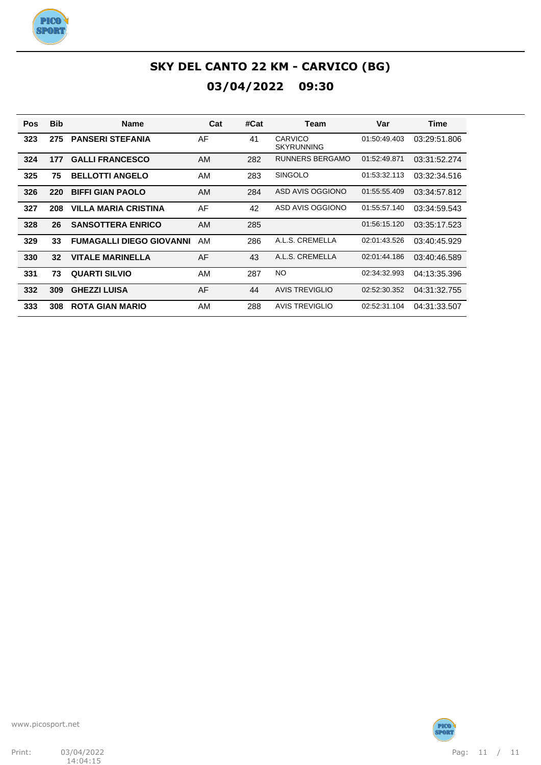

| <b>Pos</b> | <b>Bib</b> | <b>Name</b>                     | Cat       | #Cat | Team                                | Var          | <b>Time</b>  |
|------------|------------|---------------------------------|-----------|------|-------------------------------------|--------------|--------------|
| 323        | 275        | <b>PANSERI STEFANIA</b>         | AF        | 41   | <b>CARVICO</b><br><b>SKYRUNNING</b> | 01:50:49.403 | 03:29:51.806 |
| 324        | 177        | <b>GALLI FRANCESCO</b>          | AM        | 282  | RUNNERS BERGAMO                     | 01:52:49.871 | 03:31:52.274 |
| 325        | 75         | <b>BELLOTTI ANGELO</b>          | <b>AM</b> | 283  | <b>SINGOLO</b>                      | 01:53:32.113 | 03:32:34.516 |
| 326        | 220        | <b>BIFFI GIAN PAOLO</b>         | <b>AM</b> | 284  | ASD AVIS OGGIONO                    | 01:55:55.409 | 03:34:57.812 |
| 327        | 208        | <b>VILLA MARIA CRISTINA</b>     | AF        | 42   | ASD AVIS OGGIONO                    | 01:55:57.140 | 03:34:59.543 |
| 328        | 26         | <b>SANSOTTERA ENRICO</b>        | AM        | 285  |                                     | 01:56:15.120 | 03:35:17.523 |
| 329        | 33         | <b>FUMAGALLI DIEGO GIOVANNI</b> | AM        | 286  | A.L.S. CREMELLA                     | 02:01:43.526 | 03:40:45.929 |
| 330        | 32         | <b>VITALE MARINELLA</b>         | AF        | 43   | A.L.S. CREMELLA                     | 02:01:44.186 | 03:40:46.589 |
| 331        | 73         | <b>QUARTI SILVIO</b>            | <b>AM</b> | 287  | NO.                                 | 02:34:32.993 | 04:13:35.396 |
| 332        | 309        | <b>GHEZZI LUISA</b>             | AF        | 44   | <b>AVIS TREVIGLIO</b>               | 02:52:30.352 | 04:31:32.755 |
| 333        | 308        | <b>ROTA GIAN MARIO</b>          | AM        | 288  | <b>AVIS TREVIGLIO</b>               | 02:52:31.104 | 04:31:33.507 |



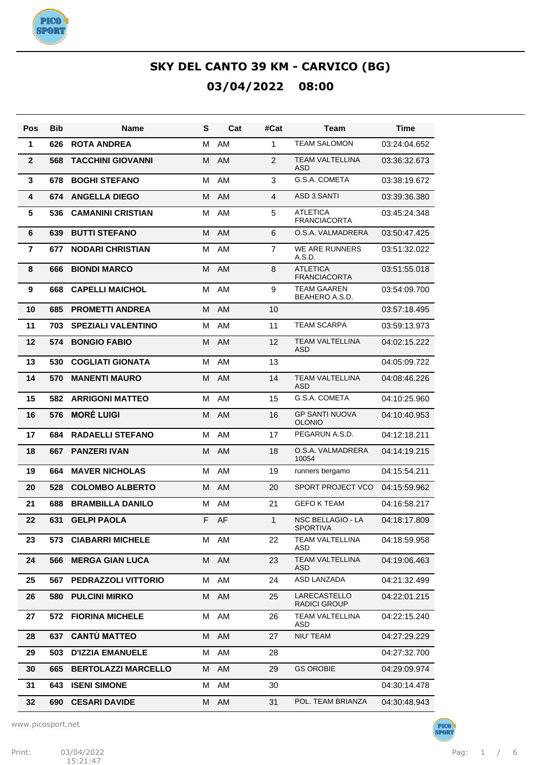

| Pos            | <b>Bib</b> | <b>Name</b>                | S  | Cat       | #Cat           | Team                                   | <b>Time</b>  |
|----------------|------------|----------------------------|----|-----------|----------------|----------------------------------------|--------------|
| 1              | 626        | <b>ROTA ANDREA</b>         | М  | AM        | 1              | <b>TEAM SALOMON</b>                    | 03:24:04.652 |
| $\mathbf{2}$   | 568        | <b>TACCHINI GIOVANNI</b>   | М  | <b>AM</b> | 2              | <b>TEAM VALTELLINA</b><br><b>ASD</b>   | 03:36:32.673 |
| 3              | 678        | <b>BOGHI STEFANO</b>       | M  | AM        | 3              | G.S.A. COMETA                          | 03:38:19.672 |
| 4              | 674        | <b>ANGELLA DIEGO</b>       | M  | AM        | $\overline{4}$ | <b>ASD 3 SANTI</b>                     | 03:39:36.380 |
| 5              | 536        | <b>CAMANINI CRISTIAN</b>   | M  | AM        | 5              | <b>ATLETICA</b><br><b>FRANCIACORTA</b> | 03:45:24.348 |
| 6              | 639        | <b>BUTTI STEFANO</b>       | M  | AM        | 6              | O.S.A. VALMADRERA                      | 03:50:47.425 |
| $\overline{7}$ | 677        | <b>NODARI CHRISTIAN</b>    | M  | AM        | $\overline{7}$ | WE ARE RUNNERS<br>A.S.D.               | 03:51:32.022 |
| 8              | 666        | <b>BIONDI MARCO</b>        | м  | AM        | 8              | <b>ATLETICA</b><br><b>FRANCIACORTA</b> | 03:51:55.018 |
| 9              | 668        | <b>CAPELLI MAICHOL</b>     | M  | AM        | 9              | <b>TEAM GAAREN</b><br>BEAHERO A.S.D.   | 03:54:09.700 |
| 10             | 685        | <b>PROMETTI ANDREA</b>     | M  | AM        | 10             |                                        | 03:57:18.495 |
| 11             | 703        | <b>SPEZIALI VALENTINO</b>  | M  | AM        | 11             | <b>TEAM SCARPA</b>                     | 03:59:13.973 |
| 12             | 574        | <b>BONGIO FABIO</b>        | М  | <b>AM</b> | 12             | <b>TEAM VALTELLINA</b><br><b>ASD</b>   | 04:02:15.222 |
| 13             | 530        | <b>COGLIATI GIONATA</b>    | М  | AM        | 13             |                                        | 04:05:09.722 |
| 14             | 570        | <b>MANENTI MAURO</b>       | М  | <b>AM</b> | 14             | <b>TEAM VALTELLINA</b><br><b>ASD</b>   | 04:08:46.226 |
| 15             | 582        | <b>ARRIGONI MATTEO</b>     | M  | AM        | 15             | G.S.A. COMETA                          | 04:10:25.960 |
| 16             | 576        | <b>MORÉ LUIGI</b>          | M  | AM        | 16             | <b>GP SANTI NUOVA</b><br><b>OLONIO</b> | 04:10:40.953 |
| 17             | 684        | <b>RADAELLI STEFANO</b>    | M  | AM        | 17             | PEGARUN A.S.D.                         | 04:12:18.211 |
| 18             | 667        | <b>PANZERI IVAN</b>        | М  | <b>AM</b> | 18             | O.S.A. VALMADRERA<br>10054             | 04:14:19.215 |
| 19             | 664        | <b>MAVER NICHOLAS</b>      | М  | AM        | 19             | runners bergamo                        | 04:15:54.211 |
| 20             | 528        | <b>COLOMBO ALBERTO</b>     | м  | AM        | 20             | <b>SPORT PROJECT VCO</b>               | 04:15:59.962 |
| 21             | 688        | <b>BRAMBILLA DANILO</b>    | М  | AM        | 21             | <b>GEFO K TEAM</b>                     | 04:16:58.217 |
| 22             | 631        | <b>GELPI PAOLA</b>         | F. | AF        | 1              | <b>NSC BELLAGIO - LA</b><br>SPORTIVA   | 04:18:17.809 |
| 23             | 573.       | <b>CIABARRI MICHELE</b>    |    | M AM      | 22             | <b>TEAM VALTELLINA</b><br>ASD          | 04:18:59.958 |
| 24             | 566        | <b>MERGA GIAN LUCA</b>     | М  | AM        | 23             | TEAM VALTELLINA<br>ASD                 | 04:19:06.463 |
| 25             | 567        | <b>PEDRAZZOLI VITTORIO</b> | м  | AM        | 24             | ASD LANZADA                            | 04:21:32.499 |
| 26             | 580        | <b>PULCINI MIRKO</b>       | М  | AM        | 25             | LARECASTELLO<br><b>RADICI GROUP</b>    | 04:22:01.215 |
| 27             |            | 572 FIORINA MICHELE        | м  | AM        | 26             | <b>TEAM VALTELLINA</b><br>ASD          | 04:22:15.240 |
| 28             | 637        | <b>CANTÙ MATTEO</b>        | М  | AM        | 27             | NIU' TEAM                              | 04:27:29.229 |
| 29             | 503        | <b>D'IZZIA EMANUELE</b>    | м  | AM        | 28             |                                        | 04:27:32.700 |
| 30             | 665        | <b>BERTOLAZZI MARCELLO</b> | М  | AM        | 29             | <b>GS OROBIE</b>                       | 04:29:09.974 |
| 31             | 643        | <b>ISENI SIMONE</b>        | м  | AM        | 30             |                                        | 04:30:14.478 |
| 32             |            | 690 CESARI DAVIDE          |    | M AM      | 31             | POL. TEAM BRIANZA                      | 04:30:48.943 |

www.picosport.net

PICO<sup>.</sup><br>SPORT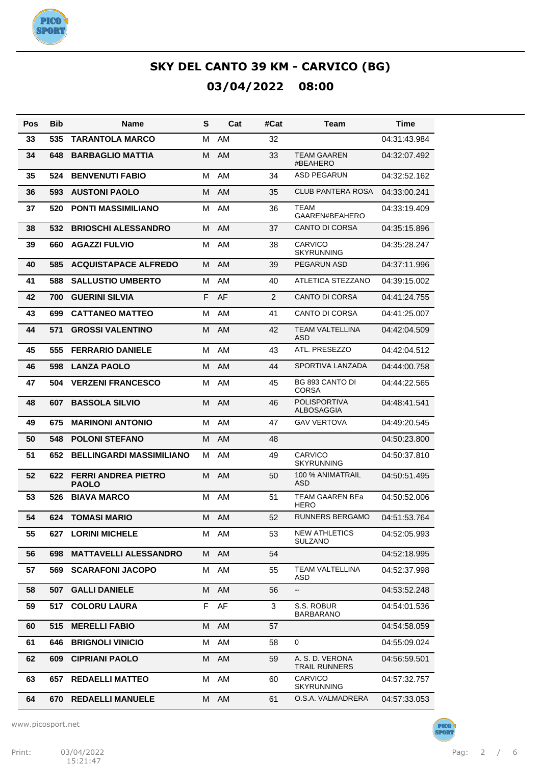

| Pos | <b>Bib</b> | <b>Name</b>                                | S | Cat       | #Cat | Team                                    | <b>Time</b>  |
|-----|------------|--------------------------------------------|---|-----------|------|-----------------------------------------|--------------|
| 33  | 535        | <b>TARANTOLA MARCO</b>                     | М | AM        | 32   |                                         | 04:31:43.984 |
| 34  | 648        | <b>BARBAGLIO MATTIA</b>                    | M | AM        | 33   | <b>TEAM GAAREN</b><br>#BEAHERO          | 04:32:07.492 |
| 35  | 524        | <b>BENVENUTI FABIO</b>                     | M | <b>AM</b> | 34   | <b>ASD PEGARUN</b>                      | 04:32:52.162 |
| 36  | 593        | <b>AUSTONI PAOLO</b>                       | M | <b>AM</b> | 35   | <b>CLUB PANTERA ROSA</b>                | 04:33:00.241 |
| 37  | 520        | <b>PONTI MASSIMILIANO</b>                  | M | <b>AM</b> | 36   | <b>TEAM</b><br>GAAREN#BEAHERO           | 04:33:19.409 |
| 38  | 532        | <b>BRIOSCHI ALESSANDRO</b>                 | М | AM        | 37   | <b>CANTO DI CORSA</b>                   | 04:35:15.896 |
| 39  | 660        | <b>AGAZZI FULVIO</b>                       | м | <b>AM</b> | 38   | <b>CARVICO</b><br><b>SKYRUNNING</b>     | 04:35:28.247 |
| 40  | 585        | <b>ACQUISTAPACE ALFREDO</b>                | м | AM        | 39   | PEGARUN ASD                             | 04:37:11.996 |
| 41  | 588        | <b>SALLUSTIO UMBERTO</b>                   | M | AM        | 40   | ATLETICA STEZZANO                       | 04:39:15.002 |
| 42  | 700        | <b>GUERINI SILVIA</b>                      | F | AF        | 2    | <b>CANTO DI CORSA</b>                   | 04:41:24.755 |
| 43  | 699        | <b>CATTANEO MATTEO</b>                     | M | AM        | 41   | <b>CANTO DI CORSA</b>                   | 04:41:25.007 |
| 44  | 571        | <b>GROSSI VALENTINO</b>                    | M | AM        | 42   | <b>TEAM VALTELLINA</b><br><b>ASD</b>    | 04:42:04.509 |
| 45  | 555        | <b>FERRARIO DANIELE</b>                    | M | AM        | 43   | ATL. PRESEZZO                           | 04:42:04.512 |
| 46  | 598        | <b>LANZA PAOLO</b>                         | M | <b>AM</b> | 44   | SPORTIVA LANZADA                        | 04:44:00.758 |
| 47  | 504        | <b>VERZENI FRANCESCO</b>                   | м | <b>AM</b> | 45   | BG 893 CANTO DI<br><b>CORSA</b>         | 04:44:22.565 |
| 48  | 607        | <b>BASSOLA SILVIO</b>                      | М | AM        | 46   | <b>POLISPORTIVA</b><br>ALBOSAGGIA       | 04:48:41.541 |
| 49  | 675        | <b>MARINONI ANTONIO</b>                    | M | AM        | 47   | <b>GAV VERTOVA</b>                      | 04:49:20.545 |
| 50  | 548        | <b>POLONI STEFANO</b>                      | M | AM        | 48   |                                         | 04:50:23.800 |
| 51  | 652        | <b>BELLINGARDI MASSIMILIANO</b>            | М | <b>AM</b> | 49   | <b>CARVICO</b><br><b>SKYRUNNING</b>     | 04:50:37.810 |
| 52  | 622        | <b>FERRI ANDREA PIETRO</b><br><b>PAOLO</b> | м | AM        | 50   | 100 % ANIMATRAIL<br><b>ASD</b>          | 04:50:51.495 |
| 53  | 526        | <b>BIAVA MARCO</b>                         | M | AM        | 51   | TEAM GAAREN BEa<br>HERO                 | 04:50:52.006 |
| 54  | 624        | <b>TOMASI MARIO</b>                        | м | AM        | 52   | <b>RUNNERS BERGAMO</b>                  | 04:51:53.764 |
| 55  | 627        | <b>LORINI MICHELE</b>                      |   | M AM      | 53   | <b>NEW ATHLETICS</b><br><b>SULZANO</b>  | 04:52:05.993 |
| 56  | 698        | <b>MATTAVELLI ALESSANDRO</b>               | M | AM        | 54   |                                         | 04:52:18.995 |
| 57  | 569        | <b>SCARAFONI JACOPO</b>                    | M | AM        | 55   | <b>TEAM VALTELLINA</b><br>ASD           | 04:52:37.998 |
| 58  | 507        | <b>GALLI DANIELE</b>                       | M | AM        | 56   | --                                      | 04:53:52.248 |
| 59  | 517        | <b>COLORU LAURA</b>                        | F | AF        | 3    | S.S. ROBUR<br><b>BARBARANO</b>          | 04:54:01.536 |
| 60  | 515        | <b>MERELLI FABIO</b>                       | м | AM        | 57   |                                         | 04:54:58.059 |
| 61  | 646        | <b>BRIGNOLI VINICIO</b>                    | М | AM        | 58   | 0                                       | 04:55:09.024 |
| 62  | 609        | <b>CIPRIANI PAOLO</b>                      | м | <b>AM</b> | 59   | A. S. D. VERONA<br><b>TRAIL RUNNERS</b> | 04:56:59.501 |
| 63  | 657        | <b>REDAELLI MATTEO</b>                     | M | AM        | 60   | CARVICO<br><b>SKYRUNNING</b>            | 04:57:32.757 |
| 64  | 670        | <b>REDAELLI MANUELE</b>                    | M | AM        | 61   | O.S.A. VALMADRERA                       | 04:57:33.053 |

www.picosport.net

PICO<sup>.</sup><br>SPORT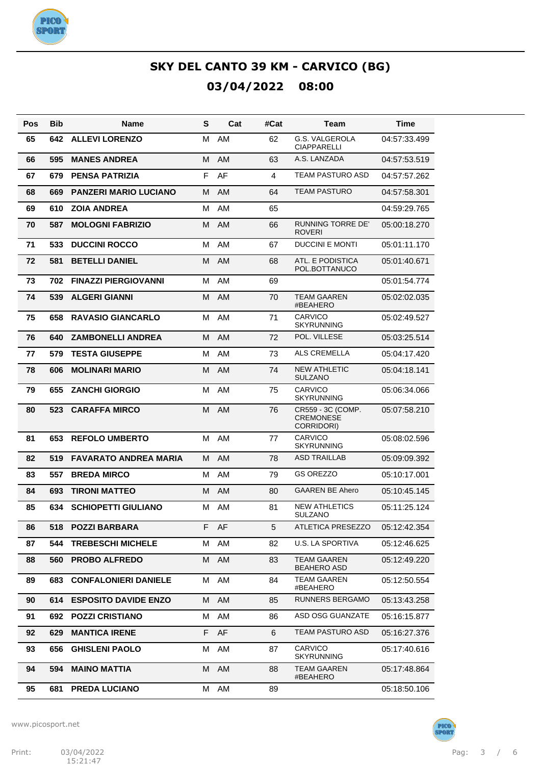

| Pos | <b>Bib</b> | Name                         | S  | Cat       | #Cat | Team                                                | <b>Time</b>  |
|-----|------------|------------------------------|----|-----------|------|-----------------------------------------------------|--------------|
| 65  | 642        | <b>ALLEVI LORENZO</b>        | м  | AM        | 62   | G.S. VALGEROLA<br><b>CIAPPARELLI</b>                | 04:57:33.499 |
| 66  | 595        | <b>MANES ANDREA</b>          | M  | <b>AM</b> | 63   | A.S. LANZADA                                        | 04:57:53.519 |
| 67  | 679        | <b>PENSA PATRIZIA</b>        | F  | AF        | 4    | TEAM PASTURO ASD                                    | 04:57:57.262 |
| 68  | 669        | <b>PANZERI MARIO LUCIANO</b> | M  | <b>AM</b> | 64   | <b>TEAM PASTURO</b>                                 | 04:57:58.301 |
| 69  | 610        | <b>ZOIA ANDREA</b>           | M  | AM        | 65   |                                                     | 04:59:29.765 |
| 70  | 587        | <b>MOLOGNI FABRIZIO</b>      | M  | AM        | 66   | <b>RUNNING TORRE DE'</b><br><b>ROVERI</b>           | 05:00:18.270 |
| 71  | 533        | <b>DUCCINI ROCCO</b>         | м  | AM        | 67   | <b>DUCCINI E MONTI</b>                              | 05:01:11.170 |
| 72  | 581        | <b>BETELLI DANIEL</b>        | М  | AM        | 68   | ATL. E PODISTICA<br>POL.BOTTANUCO                   | 05:01:40.671 |
| 73  | 702        | <b>FINAZZI PIERGIOVANNI</b>  | M  | AM        | 69   |                                                     | 05:01:54.774 |
| 74  | 539        | <b>ALGERI GIANNI</b>         | M  | AM        | 70   | <b>TEAM GAAREN</b><br>#BEAHERO                      | 05:02:02.035 |
| 75  | 658        | <b>RAVASIO GIANCARLO</b>     | м  | AM        | 71   | <b>CARVICO</b><br><b>SKYRUNNING</b>                 | 05:02:49.527 |
| 76  | 640        | <b>ZAMBONELLI ANDREA</b>     | M  | AM        | 72   | POL. VILLESE                                        | 05:03:25.514 |
| 77  | 579        | <b>TESTA GIUSEPPE</b>        | м  | AM        | 73   | ALS CREMELLA                                        | 05:04:17.420 |
| 78  | 606        | <b>MOLINARI MARIO</b>        | М  | AM        | 74   | <b>NEW ATHLETIC</b><br><b>SULZANO</b>               | 05:04:18.141 |
| 79  | 655        | <b>ZANCHI GIORGIO</b>        | M  | AM        | 75   | <b>CARVICO</b><br><b>SKYRUNNING</b>                 | 05:06:34.066 |
| 80  | 523        | <b>CARAFFA MIRCO</b>         | M  | AM        | 76   | CR559 - 3C (COMP.<br><b>CREMONESE</b><br>CORRIDORI) | 05:07:58.210 |
| 81  | 653        | <b>REFOLO UMBERTO</b>        | M  | AM        | 77   | <b>CARVICO</b><br><b>SKYRUNNING</b>                 | 05:08:02.596 |
| 82  | 519        | <b>FAVARATO ANDREA MARIA</b> | M  | AM        | 78   | <b>ASD TRAILLAB</b>                                 | 05:09:09.392 |
| 83  | 557        | <b>BREDA MIRCO</b>           | M  | <b>AM</b> | 79   | <b>GS OREZZO</b>                                    | 05:10:17.001 |
| 84  | 693        | <b>TIRONI MATTEO</b>         | М  | AM        | 80   | <b>GAAREN BE Ahero</b>                              | 05:10:45.145 |
| 85  | 634        | <b>SCHIOPETTI GIULIANO</b>   | M  | AM        | 81   | <b>NEW ATHLETICS</b><br><b>SULZANO</b>              | 05:11:25.124 |
| 86  |            | 518 POZZI BARBARA            | F. | AF        | 5    | ATLETICA PRESEZZO                                   | 05:12:42.354 |
| 87  | 544        | <b>TREBESCHI MICHELE</b>     | M  | AM        | 82   | U.S. LA SPORTIVA                                    | 05:12:46.625 |
| 88  | 560        | <b>PROBO ALFREDO</b>         | M  | AM        | 83   | TEAM GAAREN<br><b>BEAHERO ASD</b>                   | 05:12:49.220 |
| 89  | 683        | <b>CONFALONIERI DANIELE</b>  | м  | AM        | 84   | <b>TEAM GAAREN</b><br>#BEAHERO                      | 05:12:50.554 |
| 90  | 614        | <b>ESPOSITO DAVIDE ENZO</b>  | M  | AM        | 85   | <b>RUNNERS BERGAMO</b>                              | 05:13:43.258 |
| 91  | 692        | <b>POZZI CRISTIANO</b>       | M  | AM        | 86   | ASD OSG GUANZATE                                    | 05:16:15.877 |
| 92  | 629        | <b>MANTICA IRENE</b>         | F  | AF        | 6    | TEAM PASTURO ASD                                    | 05:16:27.376 |
| 93  | 656        | <b>GHISLENI PAOLO</b>        | M  | AM        | 87   | <b>CARVICO</b><br><b>SKYRUNNING</b>                 | 05:17:40.616 |
| 94  | 594        | <b>MAINO MATTIA</b>          | M  | AM        | 88   | TEAM GAAREN<br>#BEAHERO                             | 05:17:48.864 |
| 95  | 681        | <b>PREDA LUCIANO</b>         | М  | AM        | 89   |                                                     | 05:18:50.106 |



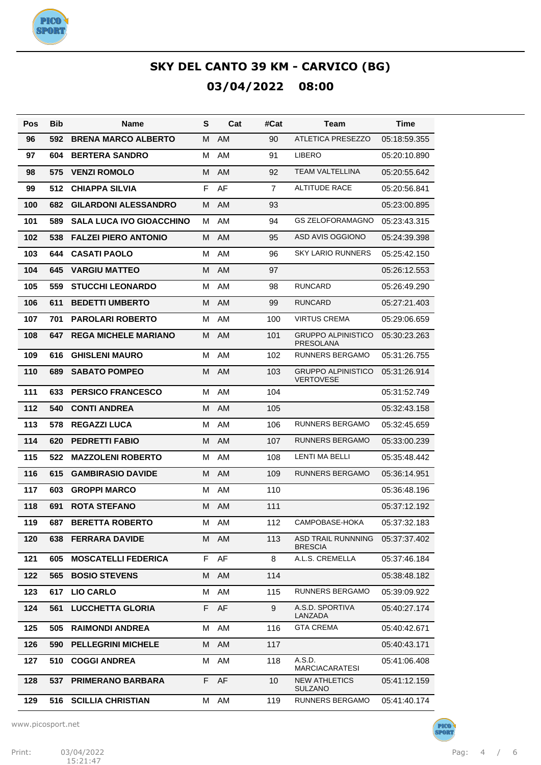

| Pos | <b>Bib</b> | <b>Name</b>                     | S  | Cat       | #Cat           | Team                                          | Time         |
|-----|------------|---------------------------------|----|-----------|----------------|-----------------------------------------------|--------------|
| 96  | 592        | <b>BRENA MARCO ALBERTO</b>      | М  | AM        | 90             | ATLETICA PRESEZZO                             | 05:18:59.355 |
| 97  | 604        | <b>BERTERA SANDRO</b>           | М  | AM        | 91             | <b>LIBERO</b>                                 | 05:20:10.890 |
| 98  | 575        | <b>VENZI ROMOLO</b>             | M  | AM        | 92             | TEAM VALTELLINA                               | 05:20:55.642 |
| 99  | 512        | <b>CHIAPPA SILVIA</b>           | F  | AF        | $\overline{7}$ | <b>ALTITUDE RACE</b>                          | 05:20:56.841 |
| 100 | 682        | <b>GILARDONI ALESSANDRO</b>     | M  | AM        | 93             |                                               | 05:23:00.895 |
| 101 | 589        | <b>SALA LUCA IVO GIOACCHINO</b> | м  | AM        | 94             | <b>GS ZELOFORAMAGNO</b>                       | 05:23:43.315 |
| 102 | 538        | <b>FALZEI PIERO ANTONIO</b>     | М  | AM        | 95             | <b>ASD AVIS OGGIONO</b>                       | 05:24:39.398 |
| 103 | 644        | <b>CASATI PAOLO</b>             | м  | AM        | 96             | <b>SKY LARIO RUNNERS</b>                      | 05:25:42.150 |
| 104 | 645        | <b>VARGIU MATTEO</b>            | M  | AM        | 97             |                                               | 05:26:12.553 |
| 105 | 559        | <b>STUCCHI LEONARDO</b>         | м  | AM        | 98             | <b>RUNCARD</b>                                | 05:26:49.290 |
| 106 | 611        | <b>BEDETTI UMBERTO</b>          | M  | AM        | 99             | <b>RUNCARD</b>                                | 05:27:21.403 |
| 107 | 701        | <b>PAROLARI ROBERTO</b>         | М  | AM        | 100            | <b>VIRTUS CREMA</b>                           | 05:29:06.659 |
| 108 | 647        | <b>REGA MICHELE MARIANO</b>     | M  | AM        | 101            | <b>GRUPPO ALPINISTICO</b><br>PRESOLANA        | 05:30:23.263 |
| 109 | 616        | <b>GHISLENI MAURO</b>           | M  | AM        | 102            | RUNNERS BERGAMO                               | 05:31:26.755 |
| 110 | 689        | <b>SABATO POMPEO</b>            | М  | AM        | 103            | <b>GRUPPO ALPINISTICO</b><br><b>VERTOVESE</b> | 05:31:26.914 |
| 111 | 633        | <b>PERSICO FRANCESCO</b>        | М  | AM        | 104            |                                               | 05:31:52.749 |
| 112 | 540        | <b>CONTI ANDREA</b>             | М  | <b>AM</b> | 105            |                                               | 05:32:43.158 |
| 113 | 578        | <b>REGAZZI LUCA</b>             | M  | AM        | 106            | RUNNERS BERGAMO                               | 05:32:45.659 |
| 114 | 620        | <b>PEDRETTI FABIO</b>           | М  | AM        | 107            | <b>RUNNERS BERGAMO</b>                        | 05:33:00.239 |
| 115 | 522        | <b>MAZZOLENI ROBERTO</b>        | M  | AM        | 108            | LENTI MA BELLI                                | 05:35:48.442 |
| 116 | 615        | <b>GAMBIRASIO DAVIDE</b>        | М  | AM        | 109            | <b>RUNNERS BERGAMO</b>                        | 05:36:14.951 |
| 117 | 603        | <b>GROPPI MARCO</b>             | М  | AM        | 110            |                                               | 05:36:48.196 |
| 118 | 691        | <b>ROTA STEFANO</b>             | М  | AM        | 111            |                                               | 05:37:12.192 |
| 119 | 687        | <b>BERETTA ROBERTO</b>          | М  | AM        | 112            | CAMPOBASE-HOKA                                | 05:37:32.183 |
| 120 | 638 -      | <b>FERRARA DAVIDE</b>           |    | M AM      | 113            | ASD TRAIL RUNNNING<br><b>BRESCIA</b>          | 05:37:37.402 |
| 121 | 605        | <b>MOSCATELLI FEDERICA</b>      | F  | AF        | 8              | A.L.S. CREMELLA                               | 05:37:46.184 |
| 122 | 565        | <b>BOSIO STEVENS</b>            | М  | AM        | 114            |                                               | 05:38:48.182 |
| 123 | 617        | <b>LIO CARLO</b>                | M  | AM        | 115            | RUNNERS BERGAMO                               | 05:39:09.922 |
| 124 | 561        | <b>LUCCHETTA GLORIA</b>         | F. | AF        | 9              | A.S.D. SPORTIVA<br>LANZADA                    | 05:40:27.174 |
| 125 | 505        | <b>RAIMONDI ANDREA</b>          | м  | AM        | 116            | <b>GTA CREMA</b>                              | 05:40:42.671 |
| 126 | 590        | <b>PELLEGRINI MICHELE</b>       | М  | AM        | 117            |                                               | 05:40:43.171 |
| 127 | 510        | <b>COGGI ANDREA</b>             | м  | AM        | 118            | A.S.D.<br><b>MARCIACARATESI</b>               | 05:41:06.408 |
| 128 | 537        | <b>PRIMERANO BARBARA</b>        | F. | AF        | 10             | <b>NEW ATHLETICS</b><br>SULZANO               | 05:41:12.159 |
| 129 | 516        | <b>SCILLIA CHRISTIAN</b>        | м  | AM        | 119            | RUNNERS BERGAMO                               | 05:41:40.174 |

www.picosport.net



PICO<sup>.</sup><br>SPORT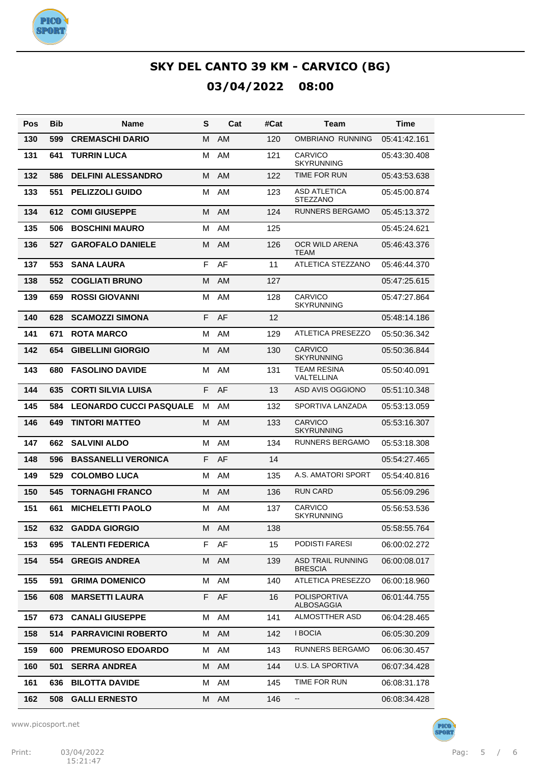

| Pos | <b>Bib</b> | Name                           | S  | Cat       | #Cat | Team                                       | <b>Time</b>  |
|-----|------------|--------------------------------|----|-----------|------|--------------------------------------------|--------------|
| 130 | 599        | <b>CREMASCHI DARIO</b>         | м  | AM        | 120  | OMBRIANO RUNNING                           | 05:41:42.161 |
| 131 | 641        | <b>TURRIN LUCA</b>             | м  | AM        | 121  | <b>CARVICO</b><br><b>SKYRUNNING</b>        | 05:43:30.408 |
| 132 | 586        | <b>DELFINI ALESSANDRO</b>      | М  | <b>AM</b> | 122  | TIME FOR RUN                               | 05:43:53.638 |
| 133 | 551        | PELIZZOLI GUIDO                | M  | AM        | 123  | <b>ASD ATLETICA</b><br><b>STEZZANO</b>     | 05:45:00.874 |
| 134 | 612        | <b>COMI GIUSEPPE</b>           | м  | <b>AM</b> | 124  | RUNNERS BERGAMO                            | 05:45:13.372 |
| 135 | 506        | <b>BOSCHINI MAURO</b>          | М  | AM        | 125  |                                            | 05:45:24.621 |
| 136 | 527        | <b>GAROFALO DANIELE</b>        | М  | <b>AM</b> | 126  | OCR WILD ARENA<br><b>TEAM</b>              | 05:46:43.376 |
| 137 | 553        | <b>SANA LAURA</b>              | F  | AF        | 11   | ATLETICA STEZZANO                          | 05:46:44.370 |
| 138 | 552        | <b>COGLIATI BRUNO</b>          | м  | <b>AM</b> | 127  |                                            | 05:47:25.615 |
| 139 | 659        | <b>ROSSI GIOVANNI</b>          | м  | AM        | 128  | CARVICO<br><b>SKYRUNNING</b>               | 05:47:27.864 |
| 140 | 628        | <b>SCAMOZZI SIMONA</b>         | F  | AF        | 12   |                                            | 05:48:14.186 |
| 141 | 671        | <b>ROTA MARCO</b>              | M  | AM        | 129  | ATLETICA PRESEZZO                          | 05:50:36.342 |
| 142 | 654        | <b>GIBELLINI GIORGIO</b>       | М  | <b>AM</b> | 130  | <b>CARVICO</b><br><b>SKYRUNNING</b>        | 05:50:36.844 |
| 143 | 680        | <b>FASOLINO DAVIDE</b>         | М  | AM        | 131  | TEAM RESINA<br>VALTELLINA                  | 05:50:40.091 |
| 144 | 635        | <b>CORTI SILVIA LUISA</b>      | F  | AF        | 13   | ASD AVIS OGGIONO                           | 05:51:10.348 |
| 145 | 584        | <b>LEONARDO CUCCI PASQUALE</b> | м  | AM        | 132  | SPORTIVA LANZADA                           | 05:53:13.059 |
| 146 | 649        | <b>TINTORI MATTEO</b>          | м  | <b>AM</b> | 133  | <b>CARVICO</b><br><b>SKYRUNNING</b>        | 05:53:16.307 |
| 147 | 662        | <b>SALVINI ALDO</b>            | М  | AM        | 134  | RUNNERS BERGAMO                            | 05:53:18.308 |
| 148 | 596        | <b>BASSANELLI VERONICA</b>     | F  | AF        | 14   |                                            | 05:54:27.465 |
| 149 | 529        | <b>COLOMBO LUCA</b>            | М  | AM        | 135  | A.S. AMATORI SPORT                         | 05:54:40.816 |
| 150 | 545        | <b>TORNAGHI FRANCO</b>         | М  | <b>AM</b> | 136  | <b>RUN CARD</b>                            | 05:56:09.296 |
| 151 | 661        | <b>MICHELETTI PAOLO</b>        | М  | AM        | 137  | CARVICO<br>SKYRUNNING                      | 05:56:53.536 |
| 152 | 632        | <b>GADDA GIORGIO</b>           | м  | AM        | 138  |                                            | 05:58:55.764 |
| 153 | 695        | <b>TALENTI FEDERICA</b>        | F  | AF        | 15   | PODISTI FARESI                             | 06:00:02.272 |
| 154 | 554        | <b>GREGIS ANDREA</b>           | M  | AM        | 139  | <b>ASD TRAIL RUNNING</b><br><b>BRESCIA</b> | 06:00:08.017 |
| 155 | 591        | <b>GRIMA DOMENICO</b>          | м  | AM        | 140  | ATLETICA PRESEZZO                          | 06:00:18.960 |
| 156 | 608        | <b>MARSETTI LAURA</b>          | F. | AF        | 16   | POLISPORTIVA<br><b>ALBOSAGGIA</b>          | 06:01:44.755 |
| 157 | 673.       | <b>CANALI GIUSEPPE</b>         | м  | AM        | 141  | <b>ALMOSTTHER ASD</b>                      | 06:04:28.465 |
| 158 | 514        | <b>PARRAVICINI ROBERTO</b>     | м  | AM.       | 142  | I BOCIA                                    | 06:05:30.209 |
| 159 | 600        | <b>PREMUROSO EDOARDO</b>       | м  | AM        | 143  | RUNNERS BERGAMO                            | 06:06:30.457 |
| 160 | 501        | <b>SERRA ANDREA</b>            | м  | AM        | 144  | U.S. LA SPORTIVA                           | 06:07:34.428 |
| 161 | 636        | <b>BILOTTA DAVIDE</b>          | м  | AM        | 145  | TIME FOR RUN                               | 06:08:31.178 |
| 162 | 508        | <b>GALLI ERNESTO</b>           | M  | AM        | 146  | --                                         | 06:08:34.428 |